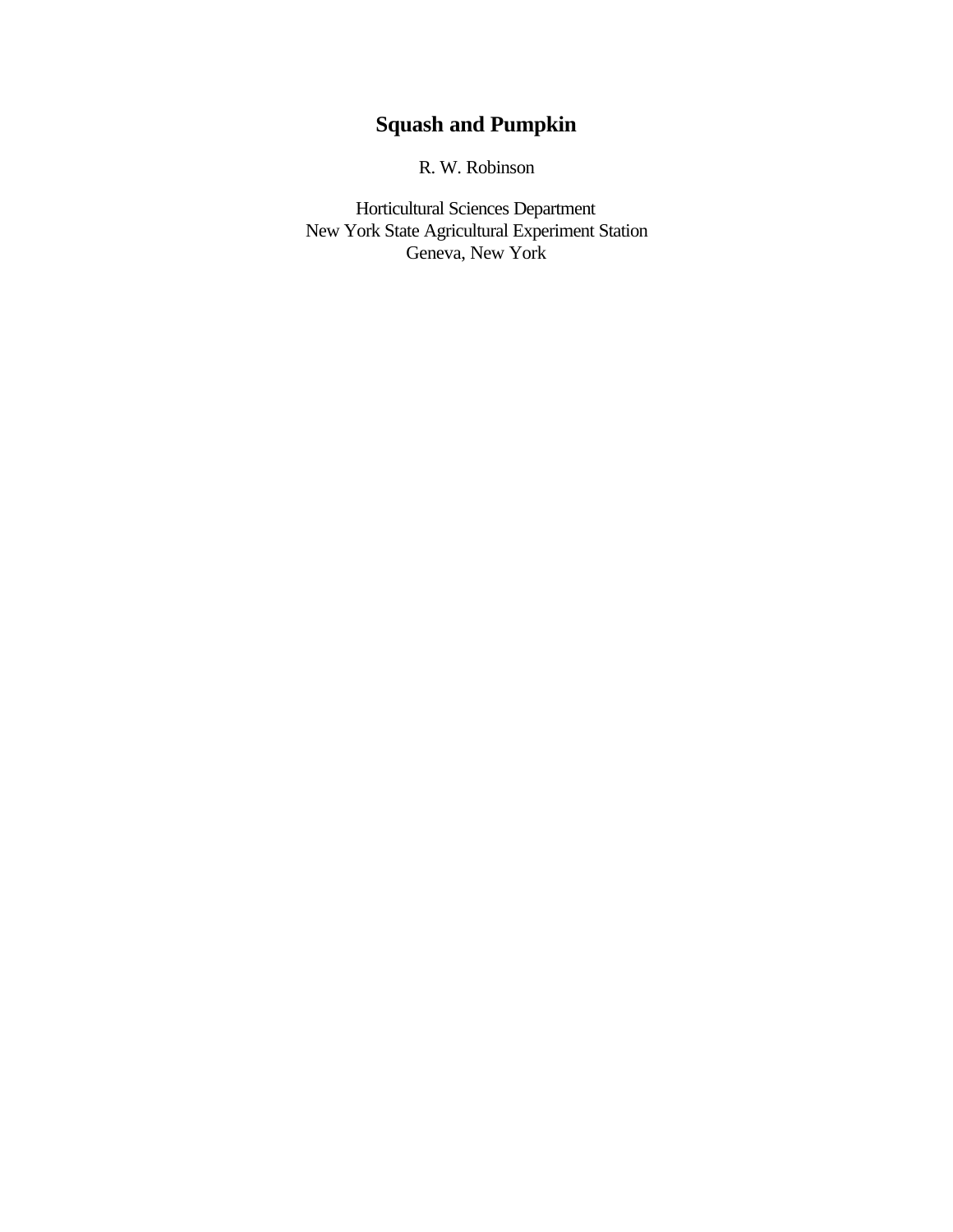# **Squash and Pumpkin**

R. W. Robinson

Horticultural Sciences Department New York State Agricultural Experiment Station Geneva, New York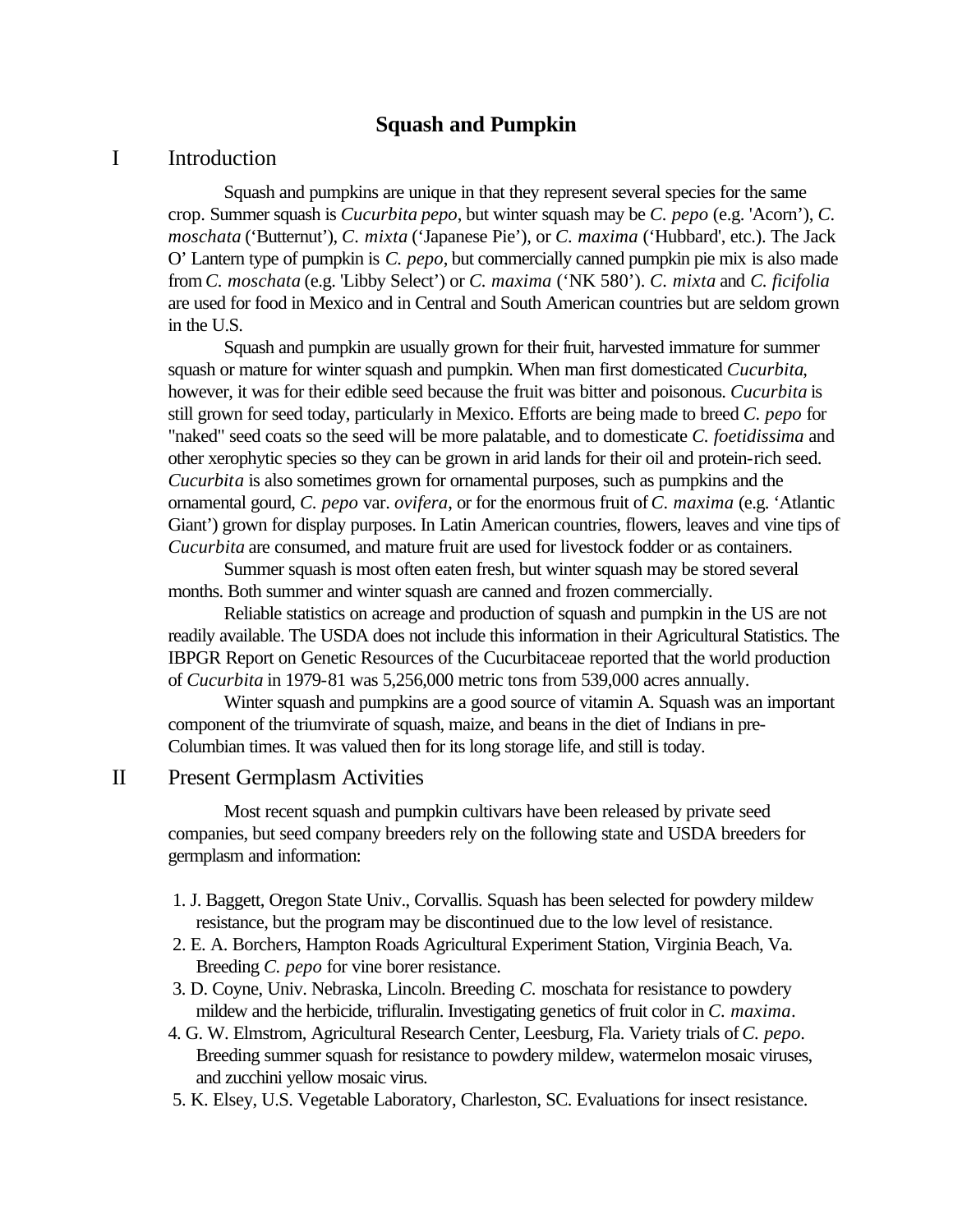# **Squash and Pumpkin**

# I Introduction

Squash and pumpkins are unique in that they represent several species for the same crop. Summer squash is *Cucurbita pepo*, but winter squash may be *C. pepo* (e.g. 'Acorn'), *C. moschata* ('Butternut'), *C. mixta* ('Japanese Pie'), or *C. maxima* ('Hubbard', etc.). The Jack O' Lantern type of pumpkin is *C. pepo*, but commercially canned pumpkin pie mix is also made from *C. moschata* (e.g. 'Libby Select') or *C. maxima* ('NK 580'). *C. mixta* and *C. ficifolia* are used for food in Mexico and in Central and South American countries but are seldom grown in the U.S.

Squash and pumpkin are usually grown for their fruit, harvested immature for summer squash or mature for winter squash and pumpkin. When man first domesticated *Cucurbita*, however, it was for their edible seed because the fruit was bitter and poisonous. *Cucurbita* is still grown for seed today, particularly in Mexico. Efforts are being made to breed *C. pepo* for "naked" seed coats so the seed will be more palatable, and to domesticate *C. foetidissima* and other xerophytic species so they can be grown in arid lands for their oil and protein-rich seed. *Cucurbita* is also sometimes grown for ornamental purposes, such as pumpkins and the ornamental gourd, *C. pepo* var. *ovifera*, or for the enormous fruit of *C. maxima* (e.g. 'Atlantic Giant') grown for display purposes. In Latin American countries, flowers, leaves and vine tips of *Cucurbita* are consumed, and mature fruit are used for livestock fodder or as containers.

Summer squash is most often eaten fresh, but winter squash may be stored several months. Both summer and winter squash are canned and frozen commercially.

Reliable statistics on acreage and production of squash and pumpkin in the US are not readily available. The USDA does not include this information in their Agricultural Statistics. The IBPGR Report on Genetic Resources of the Cucurbitaceae reported that the world production of *Cucurbita* in 1979-81 was 5,256,000 metric tons from 539,000 acres annually.

Winter squash and pumpkins are a good source of vitamin A. Squash was an important component of the triumvirate of squash, maize, and beans in the diet of Indians in pre-Columbian times. It was valued then for its long storage life, and still is today.

### II Present Germplasm Activities

Most recent squash and pumpkin cultivars have been released by private seed companies, but seed company breeders rely on the following state and USDA breeders for germplasm and information:

- 1. J. Baggett, Oregon State Univ., Corvallis. Squash has been selected for powdery mildew resistance, but the program may be discontinued due to the low level of resistance.
- 2. E. A. Borchers, Hampton Roads Agricultural Experiment Station, Virginia Beach, Va. Breeding *C. pepo* for vine borer resistance.
- 3. D. Coyne, Univ. Nebraska, Lincoln. Breeding *C.* moschata for resistance to powdery mildew and the herbicide, trifluralin. Investigating genetics of fruit color in *C. maxima*.
- 4. G. W. Elmstrom, Agricultural Research Center, Leesburg, Fla. Variety trials of *C. pepo*. Breeding summer squash for resistance to powdery mildew, watermelon mosaic viruses, and zucchini yellow mosaic virus.
- 5. K. Elsey, U.S. Vegetable Laboratory, Charleston, SC. Evaluations for insect resistance.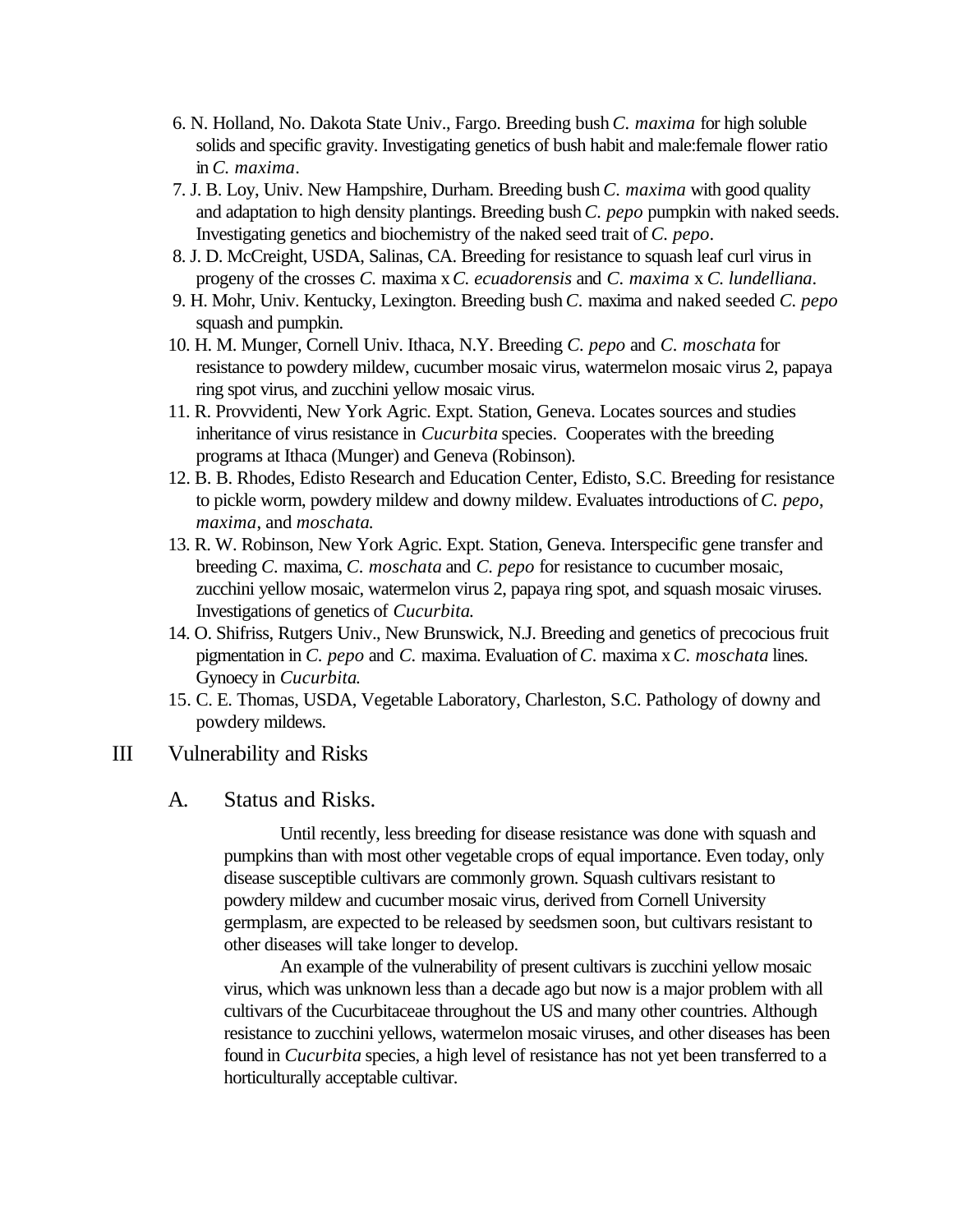- 6. N. Holland, No. Dakota State Univ., Fargo. Breeding bush *C. maxima* for high soluble solids and specific gravity. Investigating genetics of bush habit and male:female flower ratio in *C. maxima*.
- 7. J. B. Loy, Univ. New Hampshire, Durham. Breeding bush *C. maxima* with good quality and adaptation to high density plantings. Breeding bush *C. pepo* pumpkin with naked seeds. Investigating genetics and biochemistry of the naked seed trait of *C. pepo*.
- 8. J. D. McCreight, USDA, Salinas, CA. Breeding for resistance to squash leaf curl virus in progeny of the crosses *C.* maxima x *C. ecuadorensis* and *C. maxima* x *C. lundelliana*.
- 9. H. Mohr, Univ. Kentucky, Lexington. Breeding bush *C.* maxima and naked seeded *C. pepo* squash and pumpkin.
- 10. H. M. Munger, Cornell Univ. Ithaca, N.Y. Breeding *C. pepo* and *C. moschata* for resistance to powdery mildew, cucumber mosaic virus, watermelon mosaic virus 2, papaya ring spot virus, and zucchini yellow mosaic virus.
- 11. R. Provvidenti, New York Agric. Expt. Station, Geneva. Locates sources and studies inheritance of virus resistance in *Cucurbita* species. Cooperates with the breeding programs at Ithaca (Munger) and Geneva (Robinson).
- 12. B. B. Rhodes, Edisto Research and Education Center, Edisto, S.C. Breeding for resistance to pickle worm, powdery mildew and downy mildew. Evaluates introductions of *C. pepo*, *maxima*, and *moschata*.
- 13. R. W. Robinson, New York Agric. Expt. Station, Geneva. Interspecific gene transfer and breeding *C.* maxima, *C. moschata* and *C. pepo* for resistance to cucumber mosaic, zucchini yellow mosaic, watermelon virus 2, papaya ring spot, and squash mosaic viruses. Investigations of genetics of *Cucurbita*.
- 14. O. Shifriss, Rutgers Univ., New Brunswick, N.J. Breeding and genetics of precocious fruit pigmentation in *C. pepo* and *C.* maxima. Evaluation of *C.* maxima x *C. moschata* lines. Gynoecy in *Cucurbita*.
- 15. C. E. Thomas, USDA, Vegetable Laboratory, Charleston, S.C. Pathology of downy and powdery mildews.

# III Vulnerability and Risks

# A. Status and Risks.

Until recently, less breeding for disease resistance was done with squash and pumpkins than with most other vegetable crops of equal importance. Even today, only disease susceptible cultivars are commonly grown. Squash cultivars resistant to powdery mildew and cucumber mosaic virus, derived from Cornell University germplasm, are expected to be released by seedsmen soon, but cultivars resistant to other diseases will take longer to develop.

An example of the vulnerability of present cultivars is zucchini yellow mosaic virus, which was unknown less than a decade ago but now is a major problem with all cultivars of the Cucurbitaceae throughout the US and many other countries. Although resistance to zucchini yellows, watermelon mosaic viruses, and other diseases has been found in *Cucurbita* species, a high level of resistance has not yet been transferred to a horticulturally acceptable cultivar.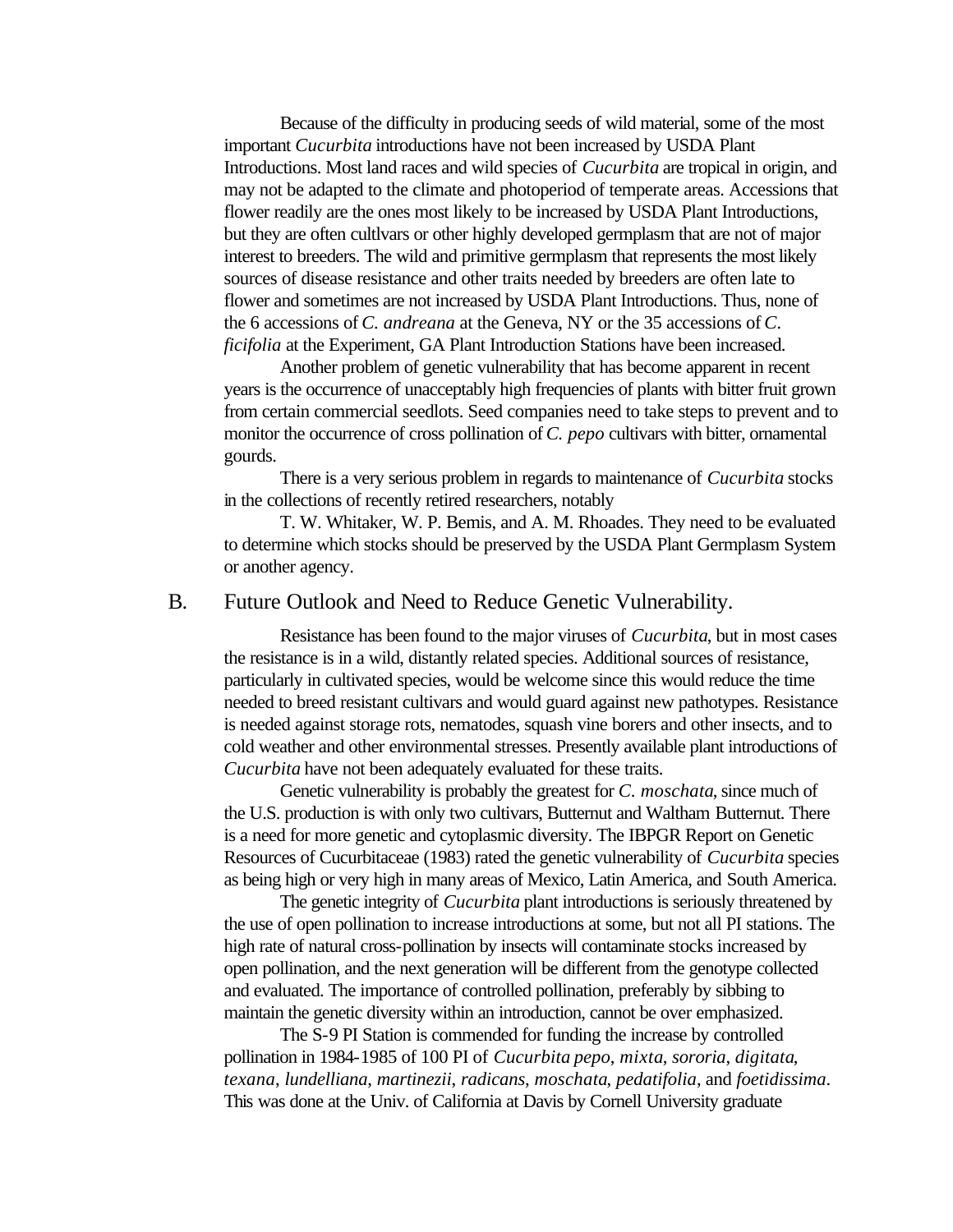Because of the difficulty in producing seeds of wild material, some of the most important *Cucurbita* introductions have not been increased by USDA Plant Introductions. Most land races and wild species of *Cucurbita* are tropical in origin, and may not be adapted to the climate and photoperiod of temperate areas. Accessions that flower readily are the ones most likely to be increased by USDA Plant Introductions, but they are often cultlvars or other highly developed germplasm that are not of major interest to breeders. The wild and primitive germplasm that represents the most likely sources of disease resistance and other traits needed by breeders are often late to flower and sometimes are not increased by USDA Plant Introductions. Thus, none of the 6 accessions of *C. andreana* at the Geneva, NY or the 35 accessions of *C. ficifolia* at the Experiment, GA Plant Introduction Stations have been increased.

Another problem of genetic vulnerability that has become apparent in recent years is the occurrence of unacceptably high frequencies of plants with bitter fruit grown from certain commercial seedlots. Seed companies need to take steps to prevent and to monitor the occurrence of cross pollination of *C. pepo* cultivars with bitter, ornamental gourds.

There is a very serious problem in regards to maintenance of *Cucurbita* stocks in the collections of recently retired researchers, notably

T. W. Whitaker, W. P. Bemis, and A. M. Rhoades. They need to be evaluated to determine which stocks should be preserved by the USDA Plant Germplasm System or another agency.

# B. Future Outlook and Need to Reduce Genetic Vulnerability.

Resistance has been found to the major viruses of *Cucurbita*, but in most cases the resistance is in a wild, distantly related species. Additional sources of resistance, particularly in cultivated species, would be welcome since this would reduce the time needed to breed resistant cultivars and would guard against new pathotypes. Resistance is needed against storage rots, nematodes, squash vine borers and other insects, and to cold weather and other environmental stresses. Presently available plant introductions of *Cucurbita* have not been adequately evaluated for these traits.

Genetic vulnerability is probably the greatest for *C. moschata*, since much of the U.S. production is with only two cultivars, Butternut and Waltham Butternut. There is a need for more genetic and cytoplasmic diversity. The IBPGR Report on Genetic Resources of Cucurbitaceae (1983) rated the genetic vulnerability of *Cucurbita* species as being high or very high in many areas of Mexico, Latin America, and South America.

The genetic integrity of *Cucurbita* plant introductions is seriously threatened by the use of open pollination to increase introductions at some, but not all PI stations. The high rate of natural cross-pollination by insects will contaminate stocks increased by open pollination, and the next generation will be different from the genotype collected and evaluated. The importance of controlled pollination, preferably by sibbing to maintain the genetic diversity within an introduction, cannot be over emphasized.

The S-9 PI Station is commended for funding the increase by controlled pollination in 1984-1985 of 100 PI of *Cucurbita pepo*, *mixta*, *sororia*, *digitata*, *texana*, *lundelliana*, *martinezii*, *radicans*, *moschata*, *pedatifolia*, and *foetidissima*. This was done at the Univ. of California at Davis by Cornell University graduate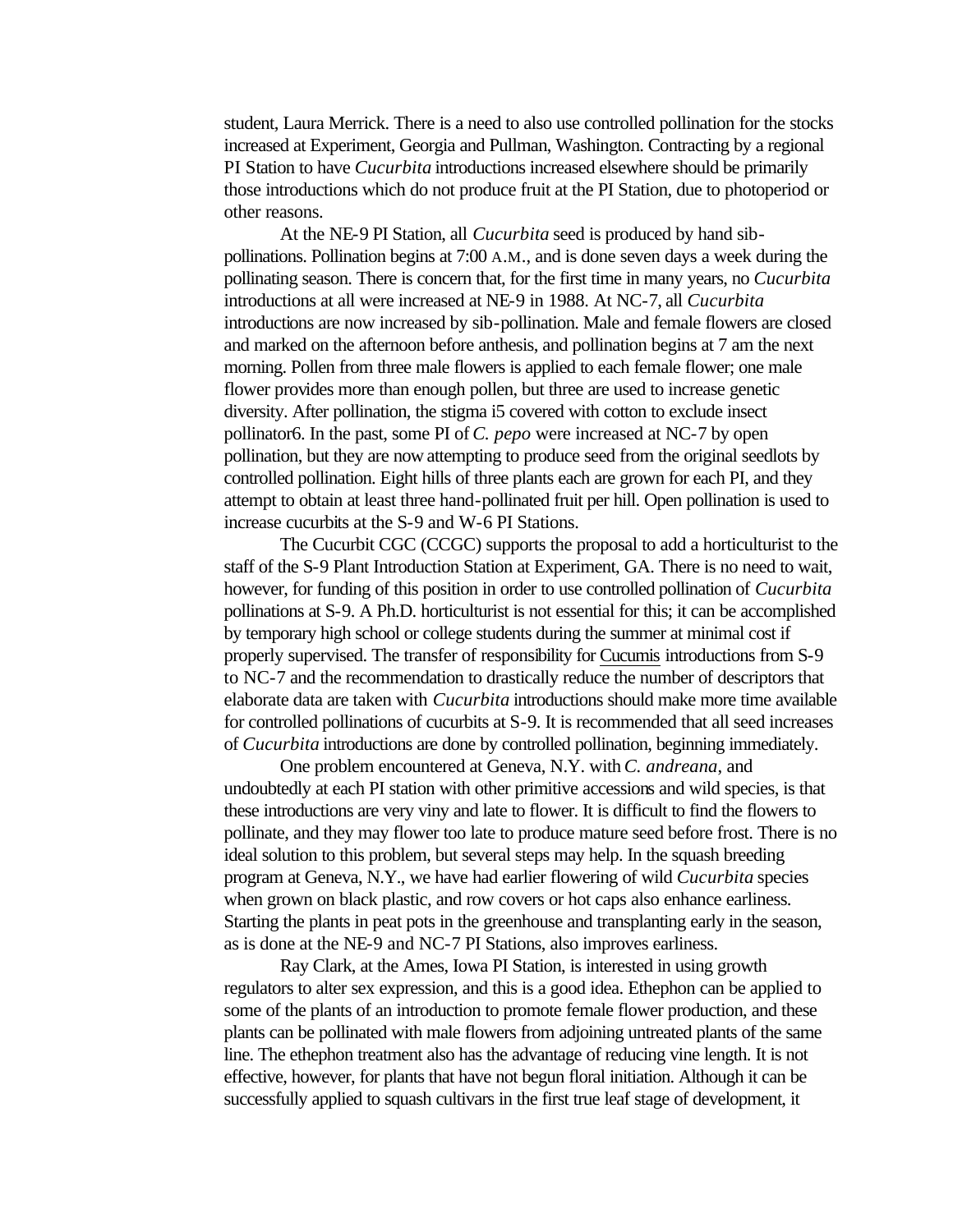student, Laura Merrick. There is a need to also use controlled pollination for the stocks increased at Experiment, Georgia and Pullman, Washington. Contracting by a regional PI Station to have *Cucurbita* introductions increased elsewhere should be primarily those introductions which do not produce fruit at the PI Station, due to photoperiod or other reasons.

At the NE-9 PI Station, all *Cucurbita* seed is produced by hand sibpollinations. Pollination begins at 7:00 A.M., and is done seven days a week during the pollinating season. There is concern that, for the first time in many years, no *Cucurbita* introductions at all were increased at NE-9 in 1988. At NC-7, all *Cucurbita* introductions are now increased by sib-pollination. Male and female flowers are closed and marked on the afternoon before anthesis, and pollination begins at 7 am the next morning. Pollen from three male flowers is applied to each female flower; one male flower provides more than enough pollen, but three are used to increase genetic diversity. After pollination, the stigma i5 covered with cotton to exclude insect pollinator6. In the past, some PI of *C. pepo* were increased at NC-7 by open pollination, but they are now attempting to produce seed from the original seedlots by controlled pollination. Eight hills of three plants each are grown for each PI, and they attempt to obtain at least three hand-pollinated fruit per hill. Open pollination is used to increase cucurbits at the S-9 and W-6 PI Stations.

The Cucurbit CGC (CCGC) supports the proposal to add a horticulturist to the staff of the S-9 Plant Introduction Station at Experiment, GA. There is no need to wait, however, for funding of this position in order to use controlled pollination of *Cucurbita* pollinations at S-9. A Ph.D. horticulturist is not essential for this; it can be accomplished by temporary high school or college students during the summer at minimal cost if properly supervised. The transfer of responsibility for Cucumis introductions from S-9 to NC-7 and the recommendation to drastically reduce the number of descriptors that elaborate data are taken with *Cucurbita* introductions should make more time available for controlled pollinations of cucurbits at S-9. It is recommended that all seed increases of *Cucurbita* introductions are done by controlled pollination, beginning immediately.

One problem encountered at Geneva, N.Y. with *C. andreana*, and undoubtedly at each PI station with other primitive accessions and wild species, is that these introductions are very viny and late to flower. It is difficult to find the flowers to pollinate, and they may flower too late to produce mature seed before frost. There is no ideal solution to this problem, but several steps may help. In the squash breeding program at Geneva, N.Y., we have had earlier flowering of wild *Cucurbita* species when grown on black plastic, and row covers or hot caps also enhance earliness. Starting the plants in peat pots in the greenhouse and transplanting early in the season, as is done at the NE-9 and NC-7 PI Stations, also improves earliness.

Ray Clark, at the Ames, Iowa PI Station, is interested in using growth regulators to alter sex expression, and this is a good idea. Ethephon can be applied to some of the plants of an introduction to promote female flower production, and these plants can be pollinated with male flowers from adjoining untreated plants of the same line. The ethephon treatment also has the advantage of reducing vine length. It is not effective, however, for plants that have not begun floral initiation. Although it can be successfully applied to squash cultivars in the first true leaf stage of development, it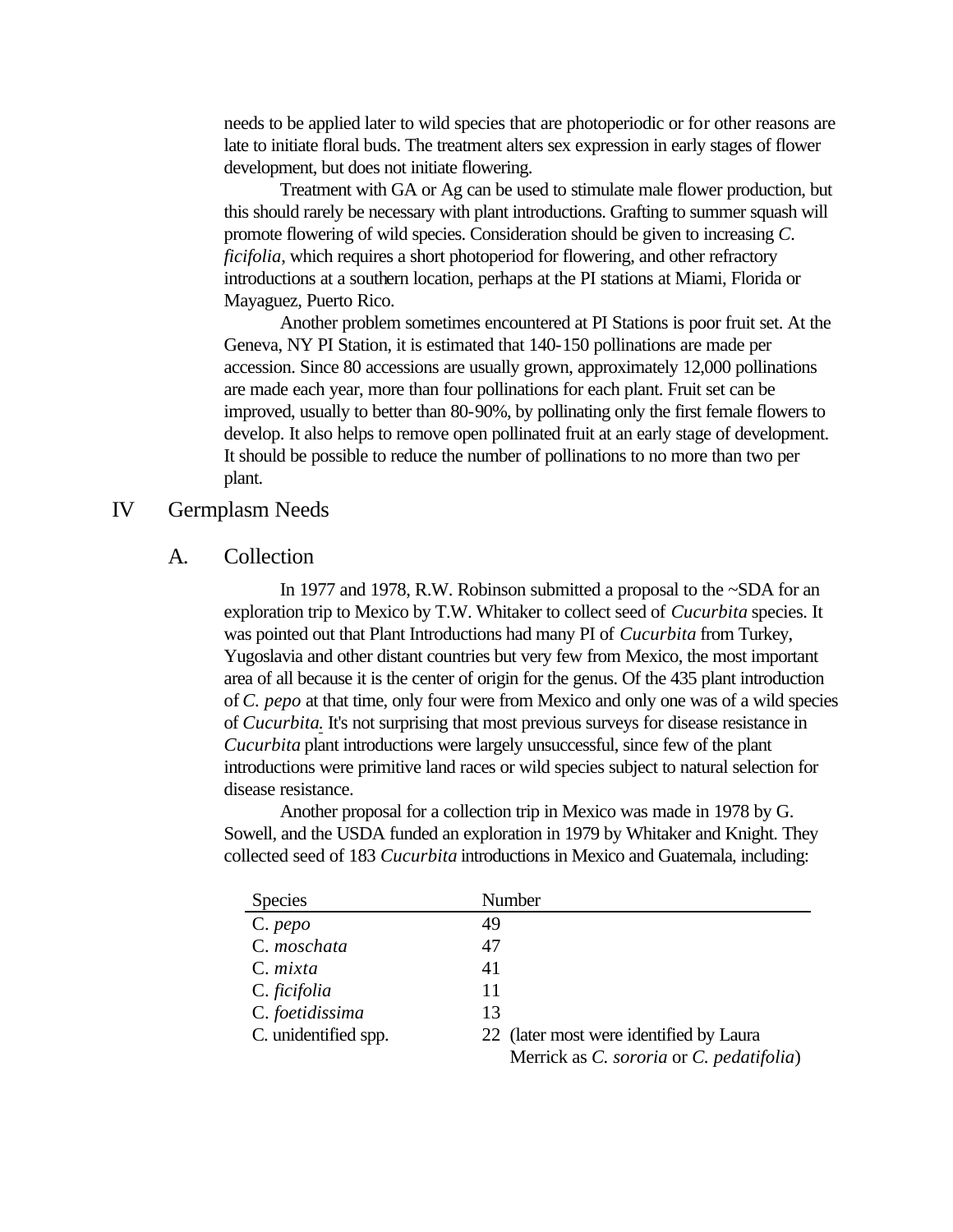needs to be applied later to wild species that are photoperiodic or for other reasons are late to initiate floral buds. The treatment alters sex expression in early stages of flower development, but does not initiate flowering.

Treatment with GA or Ag can be used to stimulate male flower production, but this should rarely be necessary with plant introductions. Grafting to summer squash will promote flowering of wild species. Consideration should be given to increasing *C. ficifolia*, which requires a short photoperiod for flowering, and other refractory introductions at a southern location, perhaps at the PI stations at Miami, Florida or Mayaguez, Puerto Rico.

Another problem sometimes encountered at PI Stations is poor fruit set. At the Geneva, NY PI Station, it is estimated that 140-150 pollinations are made per accession. Since 80 accessions are usually grown, approximately 12,000 pollinations are made each year, more than four pollinations for each plant. Fruit set can be improved, usually to better than 80-90%, by pollinating only the first female flowers to develop. It also helps to remove open pollinated fruit at an early stage of development. It should be possible to reduce the number of pollinations to no more than two per plant.

# IV Germplasm Needs

### A. Collection

In 1977 and 1978, R.W. Robinson submitted a proposal to the ~SDA for an exploration trip to Mexico by T.W. Whitaker to collect seed of *Cucurbita* species. It was pointed out that Plant Introductions had many PI of *Cucurbita* from Turkey, Yugoslavia and other distant countries but very few from Mexico, the most important area of all because it is the center of origin for the genus. Of the 435 plant introduction of *C. pepo* at that time, only four were from Mexico and only one was of a wild species of *Cucurbita*. It's not surprising that most previous surveys for disease resistance in *Cucurbita* plant introductions were largely unsuccessful, since few of the plant introductions were primitive land races or wild species subject to natural selection for disease resistance.

Another proposal for a collection trip in Mexico was made in 1978 by G. Sowell, and the USDA funded an exploration in 1979 by Whitaker and Knight. They collected seed of 183 *Cucurbita* introductions in Mexico and Guatemala, including:

| <b>Species</b>         |    | Number                                   |
|------------------------|----|------------------------------------------|
| $C. \, \rho \neq \rho$ | 49 |                                          |
| C. moschata            | 47 |                                          |
| C. mixta               | 41 |                                          |
| C. ficifolia           | 11 |                                          |
| C. foetidissima        | 13 |                                          |
| C. unidentified spp.   |    | 22 (later most were identified by Laura  |
|                        |    | Merrick as C. sororia or C. pedatifolia) |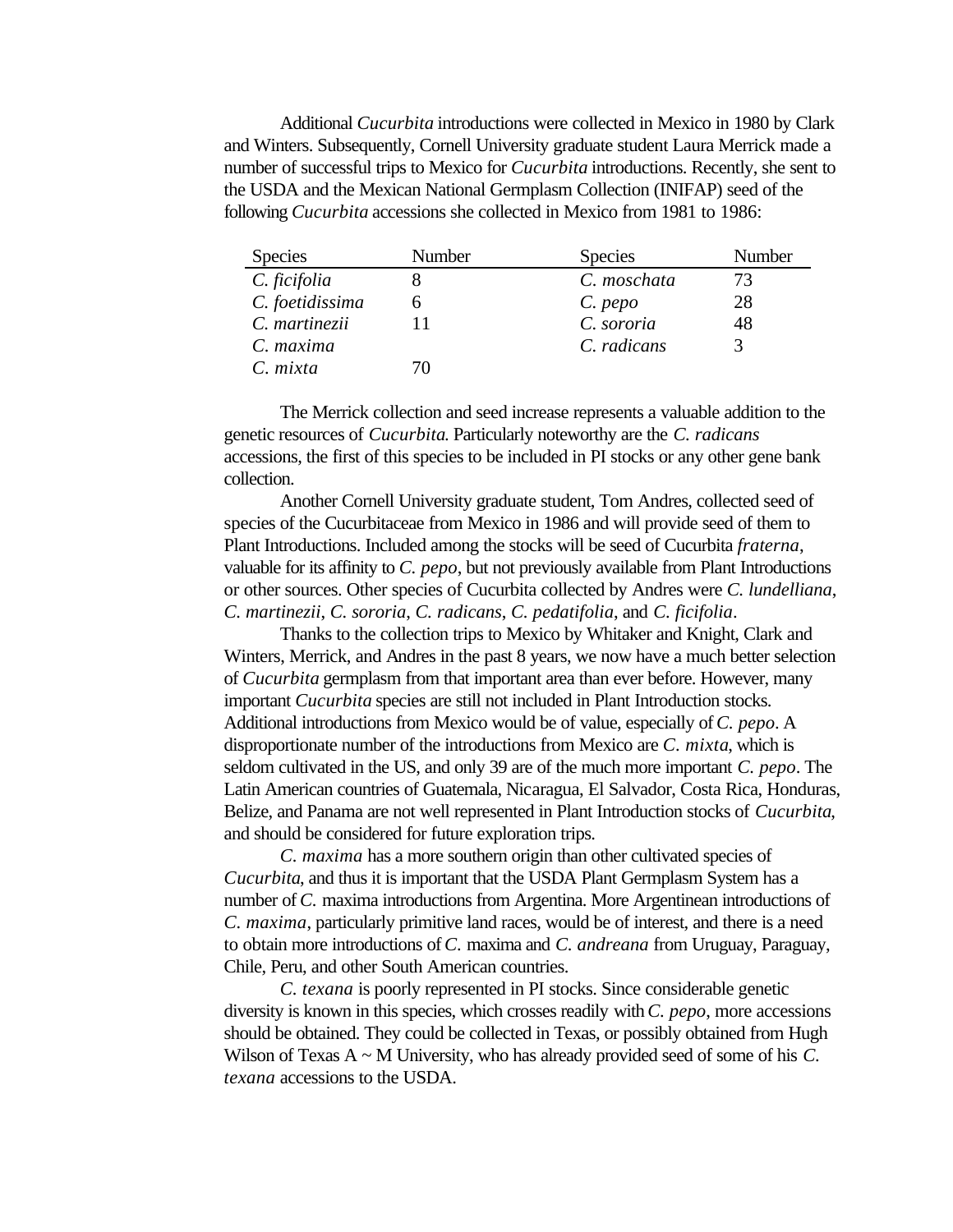Additional *Cucurbita* introductions were collected in Mexico in 1980 by Clark and Winters. Subsequently, Cornell University graduate student Laura Merrick made a number of successful trips to Mexico for *Cucurbita* introductions. Recently, she sent to the USDA and the Mexican National Germplasm Collection (INIFAP) seed of the following *Cucurbita* accessions she collected in Mexico from 1981 to 1986:

| <b>Species</b>  | Number | <b>Species</b> | Number |
|-----------------|--------|----------------|--------|
| C. ficifolia    |        | C. moschata    | 73     |
| C. foetidissima |        | C. pepo        | 28     |
| C. martinezii   |        | C. sororia     | 48     |
| C. maxima       |        | C. radicans    |        |
| C. mixta        |        |                |        |

The Merrick collection and seed increase represents a valuable addition to the genetic resources of *Cucurbita*. Particularly noteworthy are the *C. radicans* accessions, the first of this species to be included in PI stocks or any other gene bank collection.

Another Cornell University graduate student, Tom Andres, collected seed of species of the Cucurbitaceae from Mexico in 1986 and will provide seed of them to Plant Introductions. Included among the stocks will be seed of Cucurbita *fraterna*, valuable for its affinity to *C. pepo*, but not previously available from Plant Introductions or other sources. Other species of Cucurbita collected by Andres were *C. lundelliana*, *C. martinezii*, *C. sororia*, *C. radicans*, *C. pedatifolia*, and *C. ficifolia*.

Thanks to the collection trips to Mexico by Whitaker and Knight, Clark and Winters, Merrick, and Andres in the past 8 years, we now have a much better selection of *Cucurbita* germplasm from that important area than ever before. However, many important *Cucurbita* species are still not included in Plant Introduction stocks. Additional introductions from Mexico would be of value, especially of *C. pepo*. A disproportionate number of the introductions from Mexico are *C. mixta*, which is seldom cultivated in the US, and only 39 are of the much more important *C. pepo*. The Latin American countries of Guatemala, Nicaragua, El Salvador, Costa Rica, Honduras, Belize, and Panama are not well represented in Plant Introduction stocks of *Cucurbita*, and should be considered for future exploration trips.

*C. maxima* has a more southern origin than other cultivated species of *Cucurbita*, and thus it is important that the USDA Plant Germplasm System has a number of *C.* maxima introductions from Argentina. More Argentinean introductions of *C. maxima*, particularly primitive land races, would be of interest, and there is a need to obtain more introductions of *C.* maxima and *C. andreana* from Uruguay, Paraguay, Chile, Peru, and other South American countries.

*C. texana* is poorly represented in PI stocks. Since considerable genetic diversity is known in this species, which crosses readily with *C. pepo*, more accessions should be obtained. They could be collected in Texas, or possibly obtained from Hugh Wilson of Texas A ~ M University, who has already provided seed of some of his *C. texana* accessions to the USDA.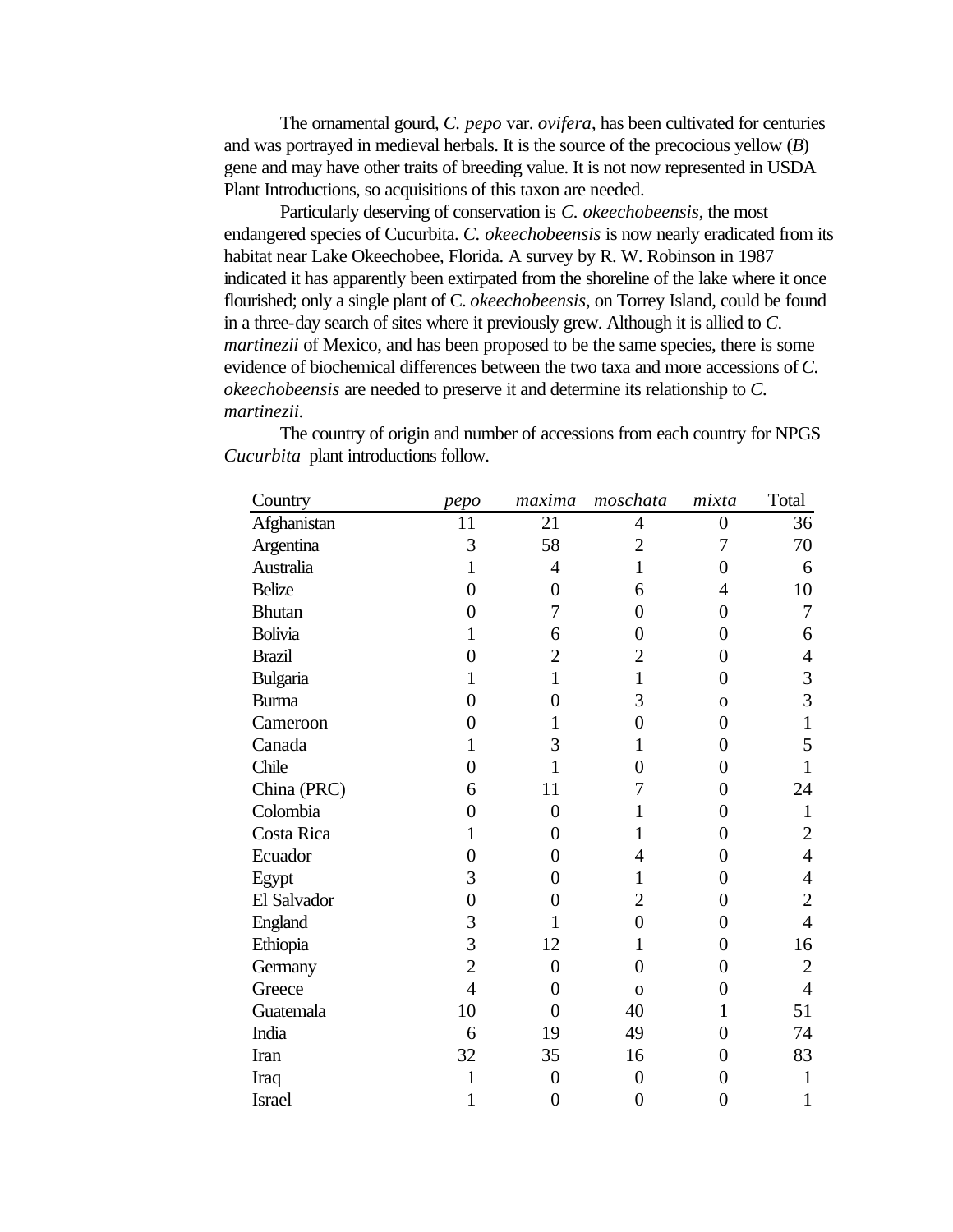The ornamental gourd, *C. pepo* var. *ovifera*, has been cultivated for centuries and was portrayed in medieval herbals. It is the source of the precocious yellow (*B*) gene and may have other traits of breeding value. It is not now represented in USDA Plant Introductions, so acquisitions of this taxon are needed.

Particularly deserving of conservation is *C. okeechobeensis*, the most endangered species of Cucurbita. *C. okeechobeensis* is now nearly eradicated from its habitat near Lake Okeechobee, Florida. A survey by R. W. Robinson in 1987 indicated it has apparently been extirpated from the shoreline of the lake where it once flourished; only a single plant of C. *okeechobeensis*, on Torrey Island, could be found in a three-day search of sites where it previously grew. Although it is allied to *C. martinezii* of Mexico, and has been proposed to be the same species, there is some evidence of biochemical differences between the two taxa and more accessions of *C. okeechobeensis* are needed to preserve it and determine its relationship to *C. martinezii*.

| Country        | pepo           | maxima           | moschata       | mixta            | Total          |
|----------------|----------------|------------------|----------------|------------------|----------------|
| Afghanistan    | 11             | 21               | $\overline{4}$ | $\boldsymbol{0}$ | 36             |
| Argentina      | 3              | 58               | $\overline{2}$ | 7                | 70             |
| Australia      | 1              | $\overline{4}$   | $\mathbf{1}$   | 0                | 6              |
| <b>Belize</b>  | $\theta$       | $\boldsymbol{0}$ | 6              | 4                | 10             |
| <b>Bhutan</b>  | 0              | 7                | $\overline{0}$ | $\overline{0}$   | 7              |
| <b>Bolivia</b> | 1              | 6                | 0              | $\overline{0}$   | 6              |
| <b>Brazil</b>  | $\theta$       | $\overline{2}$   | $\overline{2}$ | $\boldsymbol{0}$ | $\overline{4}$ |
| Bulgaria       | 1              | $\mathbf{1}$     | 1              | $\overline{0}$   | 3              |
| <b>Burma</b>   | 0              | $\overline{0}$   | 3              | $\overline{O}$   | 3              |
| Cameroon       | 0              | 1                | $\overline{0}$ | $\overline{0}$   | 1              |
| Canada         | 1              | 3                | 1              | 0                | 5              |
| Chile          | $\theta$       | 1                | $\overline{0}$ | $\overline{0}$   | 1              |
| China (PRC)    | 6              | 11               | 7              | $\overline{0}$   | 24             |
| Colombia       | $\theta$       | $\overline{0}$   | 1              | $\overline{0}$   | $\mathbf{1}$   |
| Costa Rica     | 1              | $\overline{0}$   | 1              | $\boldsymbol{0}$ | $\overline{2}$ |
| Ecuador        | $\theta$       | $\overline{0}$   | $\overline{4}$ | $\overline{0}$   | $\overline{4}$ |
| Egypt          | 3              | $\overline{0}$   | $\mathbf{1}$   | $\overline{0}$   | 4              |
| El Salvador    | $\overline{0}$ | $\overline{0}$   | $\overline{2}$ | $\overline{0}$   | $\overline{2}$ |
| England        | 3              | 1                | $\overline{0}$ | $\overline{0}$   | $\overline{4}$ |
| Ethiopia       | 3              | 12               | $\mathbf{1}$   | $\overline{0}$   | 16             |
| Germany        | $\overline{2}$ | $\overline{0}$   | $\overline{0}$ | $\overline{0}$   | $\overline{2}$ |
| Greece         | $\overline{4}$ | $\overline{0}$   | $\mathbf{O}$   | $\overline{0}$   | $\overline{4}$ |
| Guatemala      | 10             | $\overline{0}$   | 40             | $\mathbf{1}$     | 51             |
| India          | 6              | 19               | 49             | $\overline{0}$   | 74             |
| Iran           | 32             | 35               | 16             | $\overline{0}$   | 83             |
| Iraq           | 1              | $\overline{0}$   | $\overline{0}$ | $\overline{0}$   | 1              |
| <b>Israel</b>  | 1              | $\overline{0}$   | $\overline{0}$ | $\overline{0}$   | 1              |

The country of origin and number of accessions from each country for NPGS *Cucurbita* plant introductions follow.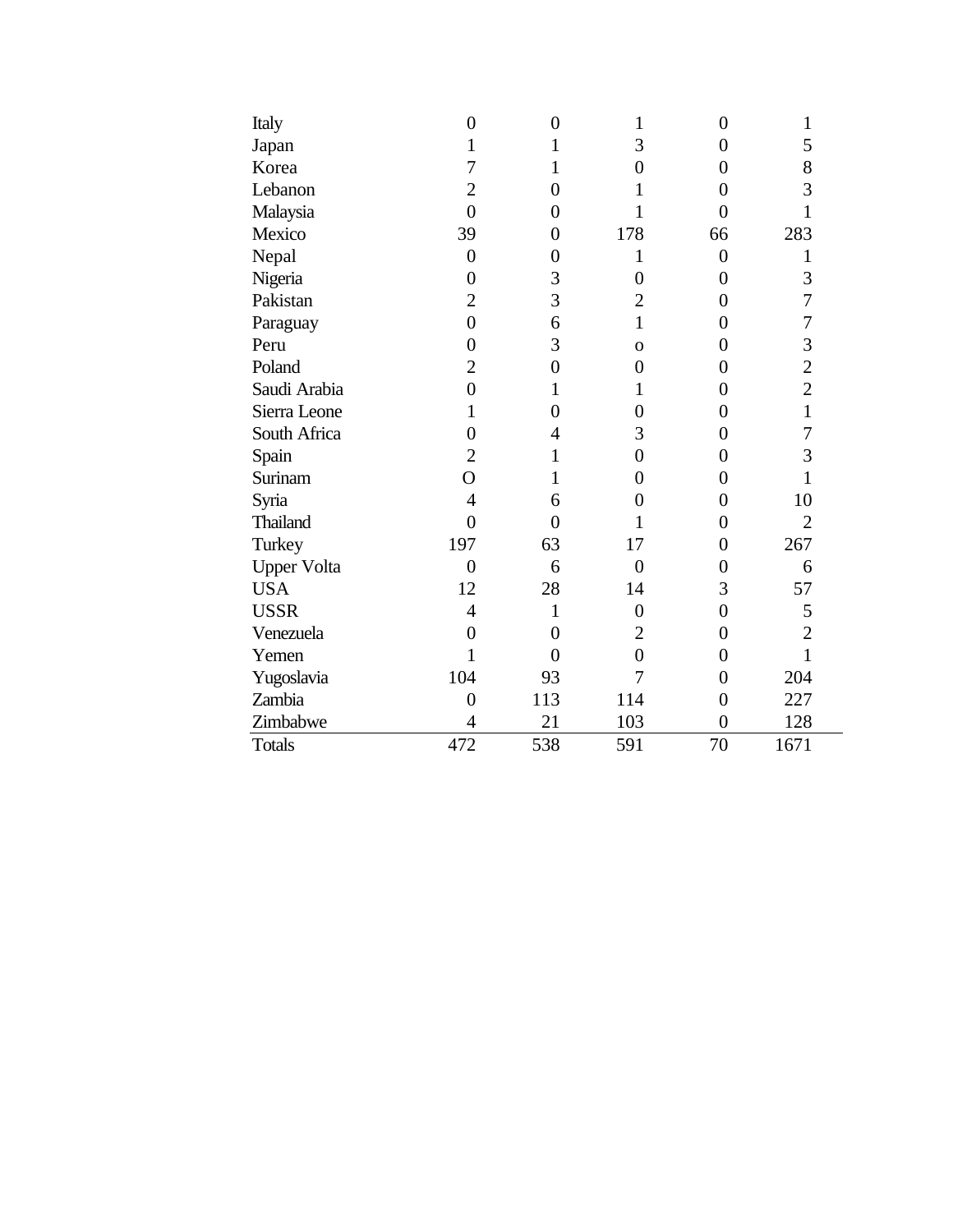| Italy              | $\overline{0}$ | $\boldsymbol{0}$ | 1                | $\overline{0}$ | 1              |
|--------------------|----------------|------------------|------------------|----------------|----------------|
| Japan              | 1              | 1                | 3                | $\overline{0}$ | 5              |
| Korea              | 7              | 1                | $\overline{0}$   | $\overline{0}$ | 8              |
| Lebanon            | $\overline{2}$ | $\overline{0}$   | 1                | $\overline{0}$ | 3              |
| Malaysia           | $\overline{0}$ | $\overline{0}$   | 1                | $\overline{0}$ | 1              |
| Mexico             | 39             | $\overline{0}$   | 178              | 66             | 283            |
| Nepal              | $\overline{0}$ | $\overline{0}$   | 1                | $\overline{0}$ | 1              |
| Nigeria            | $\overline{0}$ | 3                | $\overline{0}$   | $\overline{0}$ | 3              |
| Pakistan           | $\overline{2}$ | 3                | $\overline{2}$   | $\overline{0}$ | $\overline{7}$ |
| Paraguay           | $\overline{0}$ | 6                | $\mathbf{1}$     | $\overline{0}$ | $\overline{7}$ |
| Peru               | $\overline{0}$ | 3                | $\mathbf{O}$     | 0              | 3              |
| Poland             | $\overline{2}$ | $\boldsymbol{0}$ | $\overline{0}$   | $\overline{0}$ | $\overline{c}$ |
| Saudi Arabia       | $\overline{0}$ | 1                | 1                | $\overline{0}$ | $\overline{2}$ |
| Sierra Leone       | $\mathbf{1}$   | $\overline{0}$   | $\overline{0}$   | $\overline{0}$ | $\mathbf{1}$   |
| South Africa       | $\overline{0}$ | 4                | 3                | $\overline{0}$ | $\overline{7}$ |
| Spain              | $\overline{2}$ | 1                | $\boldsymbol{0}$ | $\overline{0}$ | 3              |
| Surinam            | $\overline{O}$ | 1                | $\overline{0}$   | 0              | 1              |
| Syria              | $\overline{4}$ | 6                | $\overline{0}$   | 0              | 10             |
| <b>Thailand</b>    | $\overline{0}$ | $\overline{0}$   | 1                | $\overline{0}$ | $\overline{2}$ |
| Turkey             | 197            | 63               | 17               | $\overline{0}$ | 267            |
| <b>Upper Volta</b> | $\overline{0}$ | 6                | $\overline{0}$   | $\overline{0}$ | 6              |
| <b>USA</b>         | 12             | 28               | 14               | 3              | 57             |
| <b>USSR</b>        | $\overline{4}$ | $\mathbf{1}$     | $\boldsymbol{0}$ | $\overline{0}$ | 5              |
| Venezuela          | $\overline{0}$ | $\overline{0}$   | $\overline{2}$   | $\overline{0}$ | $\overline{c}$ |
| Yemen              | 1              | $\overline{0}$   | $\overline{0}$   | $\overline{0}$ | $\mathbf 1$    |
| Yugoslavia         | 104            | 93               | 7                | $\overline{0}$ | 204            |
| Zambia             | $\overline{0}$ | 113              | 114              | $\overline{0}$ | 227            |
| Zimbabwe           | $\overline{4}$ | 21               | 103              | $\overline{0}$ | 128            |
| <b>Totals</b>      | 472            | 538              | 591              | 70             | 1671           |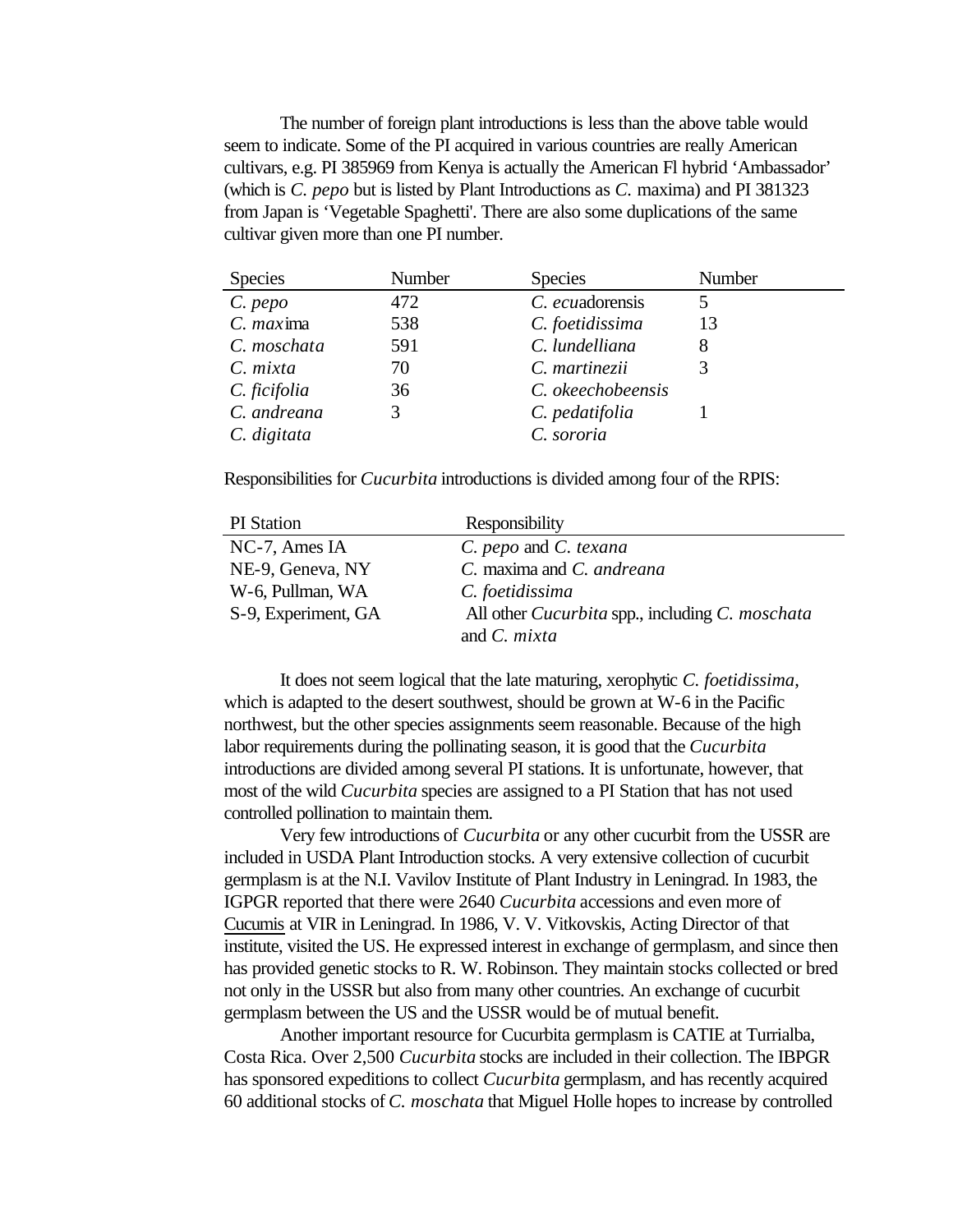The number of foreign plant introductions is less than the above table would seem to indicate. Some of the PI acquired in various countries are really American cultivars, e.g. PI 385969 from Kenya is actually the American Fl hybrid 'Ambassador' (which is *C. pepo* but is listed by Plant Introductions as *C.* maxima) and PI 381323 from Japan is 'Vegetable Spaghetti'. There are also some duplications of the same cultivar given more than one PI number.

| <b>Species</b> | Number | <b>Species</b>    | Number |
|----------------|--------|-------------------|--------|
| $C.$ pepo      | 472    | C. ecuadorensis   |        |
| $C.$ maxima    | 538    | C. foetidissima   | 13     |
| C. moschata    | 591    | C. lundelliana    |        |
| C. mixta       | 70     | C. martinezii     |        |
| C. ficifolia   | 36     | C. okeechobeensis |        |
| C. andreana    | 3      | C. pedatifolia    |        |
| C. digitata    |        | C. sororia        |        |

Responsibilities for *Cucurbita* introductions is divided among four of the RPIS:

| <b>PI</b> Station   | Responsibility                                                |
|---------------------|---------------------------------------------------------------|
| NC-7, Ames IA       | C. pepo and C. texana                                         |
| NE-9, Geneva, NY    | C. maxima and C. andreana                                     |
| W-6, Pullman, WA    | C. foetidissima                                               |
| S-9, Experiment, GA | All other <i>Cucurbita</i> spp., including <i>C. moschata</i> |
|                     | and $C$ . <i>mixta</i>                                        |

It does not seem logical that the late maturing, xerophytic *C. foetidissima*, which is adapted to the desert southwest, should be grown at W-6 in the Pacific northwest, but the other species assignments seem reasonable. Because of the high labor requirements during the pollinating season, it is good that the *Cucurbita* introductions are divided among several PI stations. It is unfortunate, however, that most of the wild *Cucurbita* species are assigned to a PI Station that has not used controlled pollination to maintain them.

Very few introductions of *Cucurbita* or any other cucurbit from the USSR are included in USDA Plant Introduction stocks. A very extensive collection of cucurbit germplasm is at the N.I. Vavilov Institute of Plant Industry in Leningrad. In 1983, the IGPGR reported that there were 2640 *Cucurbita* accessions and even more of Cucumis at VIR in Leningrad. In 1986, V. V. Vitkovskis, Acting Director of that institute, visited the US. He expressed interest in exchange of germplasm, and since then has provided genetic stocks to R. W. Robinson. They maintain stocks collected or bred not only in the USSR but also from many other countries. An exchange of cucurbit germplasm between the US and the USSR would be of mutual benefit.

Another important resource for Cucurbita germplasm is CATIE at Turrialba, Costa Rica. Over 2,500 *Cucurbita* stocks are included in their collection. The IBPGR has sponsored expeditions to collect *Cucurbita* germplasm, and has recently acquired 60 additional stocks of *C. moschata* that Miguel Holle hopes to increase by controlled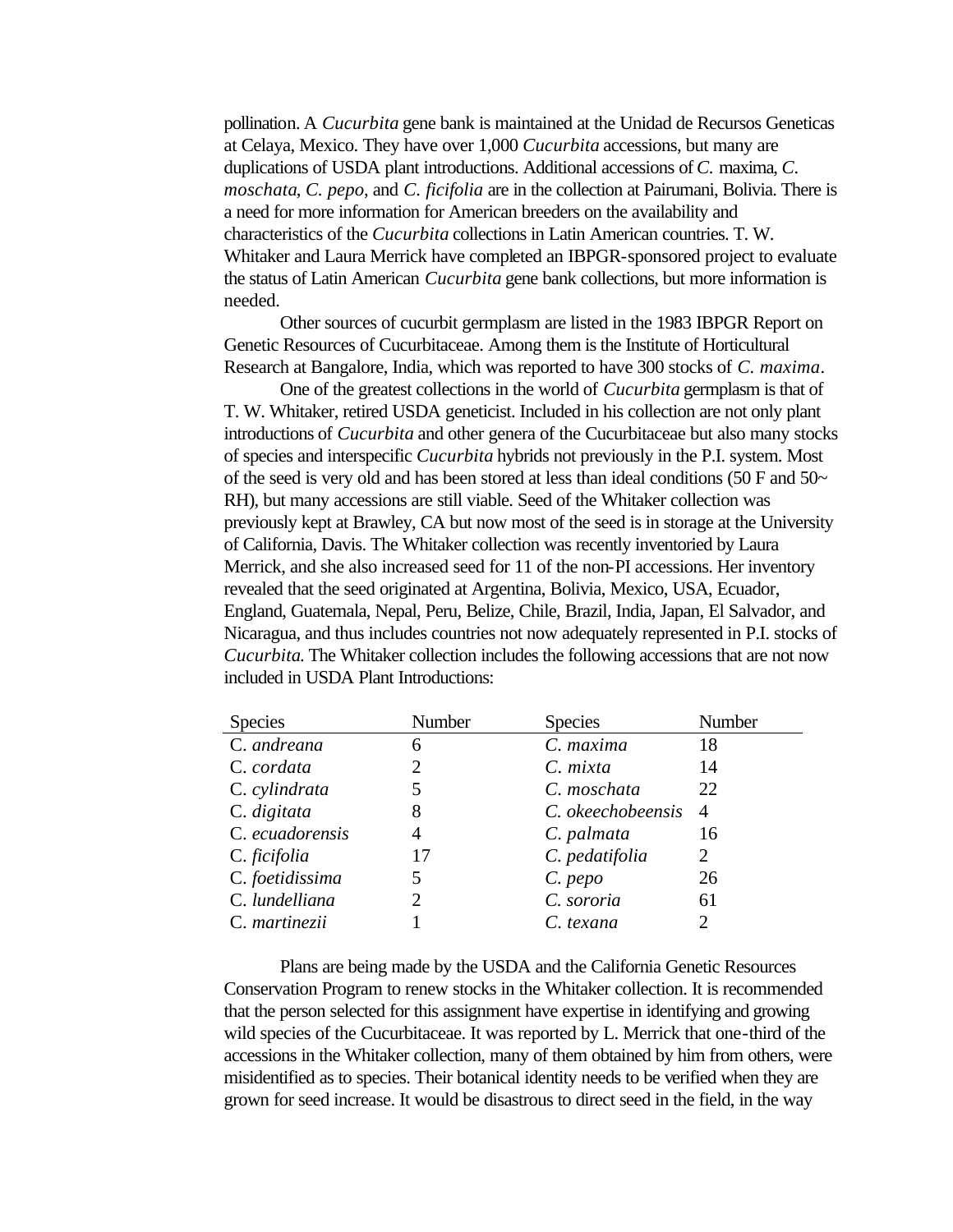pollination. A *Cucurbita* gene bank is maintained at the Unidad de Recursos Geneticas at Celaya, Mexico. They have over 1,000 *Cucurbita* accessions, but many are duplications of USDA plant introductions. Additional accessions of *C.* maxima, *C. moschata*, *C. pepo*, and *C. ficifolia* are in the collection at Pairumani, Bolivia. There is a need for more information for American breeders on the availability and characteristics of the *Cucurbita* collections in Latin American countries. T. W. Whitaker and Laura Merrick have completed an IBPGR-sponsored project to evaluate the status of Latin American *Cucurbita* gene bank collections, but more information is needed.

Other sources of cucurbit germplasm are listed in the 1983 IBPGR Report on Genetic Resources of Cucurbitaceae. Among them is the Institute of Horticultural Research at Bangalore, India, which was reported to have 300 stocks of *C. maxima*.

One of the greatest collections in the world of *Cucurbita* germplasm is that of T. W. Whitaker, retired USDA geneticist. Included in his collection are not only plant introductions of *Cucurbita* and other genera of the Cucurbitaceae but also many stocks of species and interspecific *Cucurbita* hybrids not previously in the P.I. system. Most of the seed is very old and has been stored at less than ideal conditions (50 F and 50 $\sim$ RH), but many accessions are still viable. Seed of the Whitaker collection was previously kept at Brawley, CA but now most of the seed is in storage at the University of California, Davis. The Whitaker collection was recently inventoried by Laura Merrick, and she also increased seed for 11 of the non-PI accessions. Her inventory revealed that the seed originated at Argentina, Bolivia, Mexico, USA, Ecuador, England, Guatemala, Nepal, Peru, Belize, Chile, Brazil, India, Japan, El Salvador, and Nicaragua, and thus includes countries not now adequately represented in P.I. stocks of *Cucurbita*. The Whitaker collection includes the following accessions that are not now included in USDA Plant Introductions:

| <b>Species</b>  | <b>Number</b>  | <b>Species</b>    | Number                      |
|-----------------|----------------|-------------------|-----------------------------|
| C. andreana     | 6              | C. maxima         | 18                          |
| C. cordata      | 2              | $C. \, mixta$     | 14                          |
| C. cylindrata   |                | C. moschata       | 22                          |
| C. digitata     | 8              | C. okeechobeensis | $\overline{A}$              |
| C. ecuadorensis | 4              | C. palmata        | 16                          |
| C. ficifolia    | 17             | C. pedatifolia    | 2                           |
| C. foetidissima | 5              | C. pepo           | 26                          |
| C. lundelliana  | $\overline{2}$ | C. sororia        | 61                          |
| C. martinezii   |                | C. texana         | $\mathcal{D}_{\mathcal{L}}$ |

Plans are being made by the USDA and the California Genetic Resources Conservation Program to renew stocks in the Whitaker collection. It is recommended that the person selected for this assignment have expertise in identifying and growing wild species of the Cucurbitaceae. It was reported by L. Merrick that one-third of the accessions in the Whitaker collection, many of them obtained by him from others, were misidentified as to species. Their botanical identity needs to be verified when they are grown for seed increase. It would be disastrous to direct seed in the field, in the way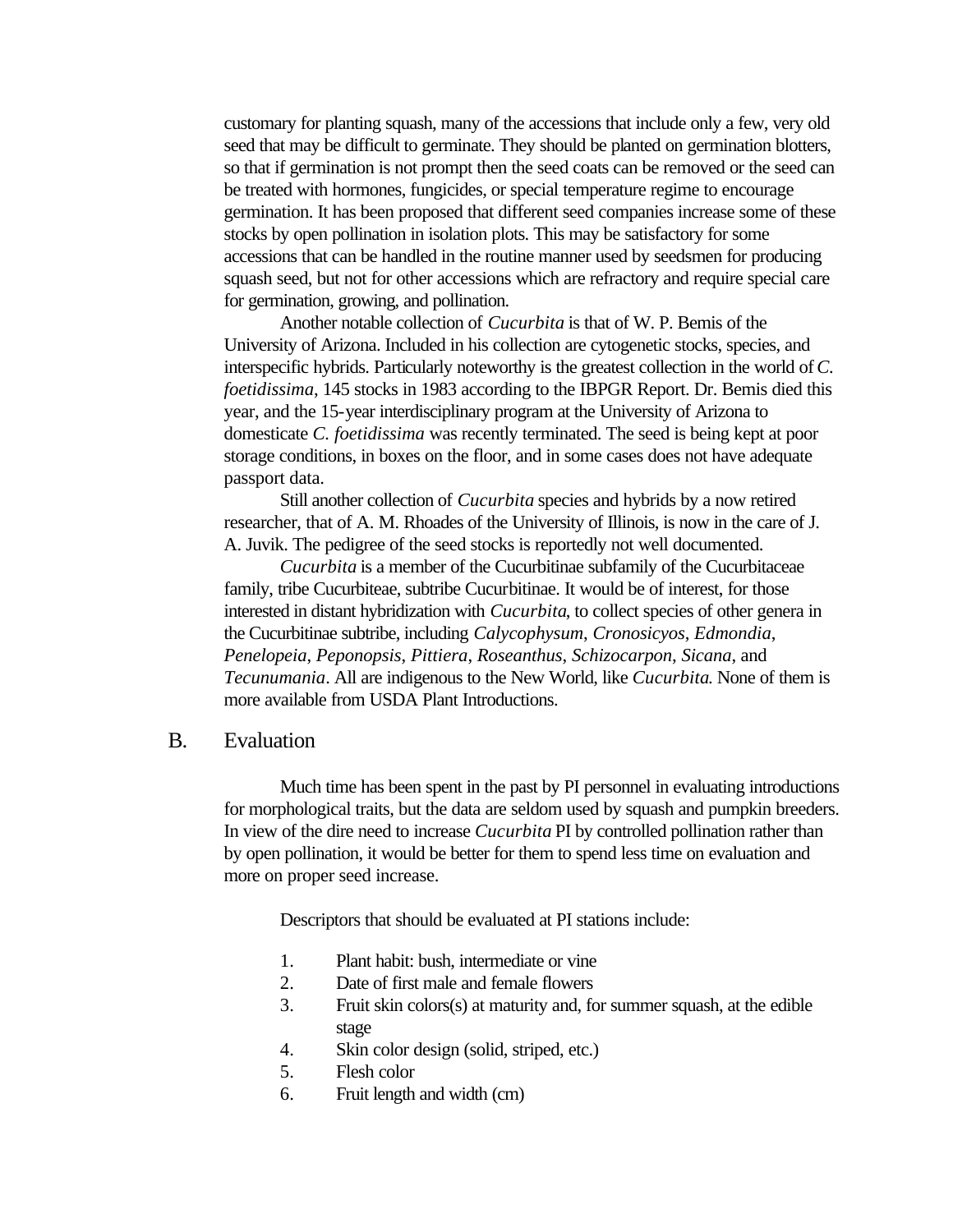customary for planting squash, many of the accessions that include only a few, very old seed that may be difficult to germinate. They should be planted on germination blotters, so that if germination is not prompt then the seed coats can be removed or the seed can be treated with hormones, fungicides, or special temperature regime to encourage germination. It has been proposed that different seed companies increase some of these stocks by open pollination in isolation plots. This may be satisfactory for some accessions that can be handled in the routine manner used by seedsmen for producing squash seed, but not for other accessions which are refractory and require special care for germination, growing, and pollination.

Another notable collection of *Cucurbita* is that of W. P. Bemis of the University of Arizona. Included in his collection are cytogenetic stocks, species, and interspecific hybrids. Particularly noteworthy is the greatest collection in the world of *C. foetidissima*, 145 stocks in 1983 according to the IBPGR Report. Dr. Bemis died this year, and the 15-year interdisciplinary program at the University of Arizona to domesticate *C. foetidissima* was recently terminated. The seed is being kept at poor storage conditions, in boxes on the floor, and in some cases does not have adequate passport data.

Still another collection of *Cucurbita* species and hybrids by a now retired researcher, that of A. M. Rhoades of the University of Illinois, is now in the care of J. A. Juvik. The pedigree of the seed stocks is reportedly not well documented.

*Cucurbita* is a member of the Cucurbitinae subfamily of the Cucurbitaceae family, tribe Cucurbiteae, subtribe Cucurbitinae. It would be of interest, for those interested in distant hybridization with *Cucurbita*, to collect species of other genera in the Cucurbitinae subtribe, including *Calycophysum*, *Cronosicyos*, *Edmondia*, *Penelopeia*, *Peponopsis*, *Pittiera*, *Roseanthus*, *Schizocarpon*, *Sicana*, and *Tecunumania*. All are indigenous to the New World, like *Cucurbita*. None of them is more available from USDA Plant Introductions.

# B. Evaluation

Much time has been spent in the past by PI personnel in evaluating introductions for morphological traits, but the data are seldom used by squash and pumpkin breeders. In view of the dire need to increase *Cucurbita* PI by controlled pollination rather than by open pollination, it would be better for them to spend less time on evaluation and more on proper seed increase.

Descriptors that should be evaluated at PI stations include:

- 1. Plant habit: bush, intermediate or vine
- 2. Date of first male and female flowers
- 3. Fruit skin colors(s) at maturity and, for summer squash, at the edible stage
- 4. Skin color design (solid, striped, etc.)
- 5. Flesh color
- 6. Fruit length and width (cm)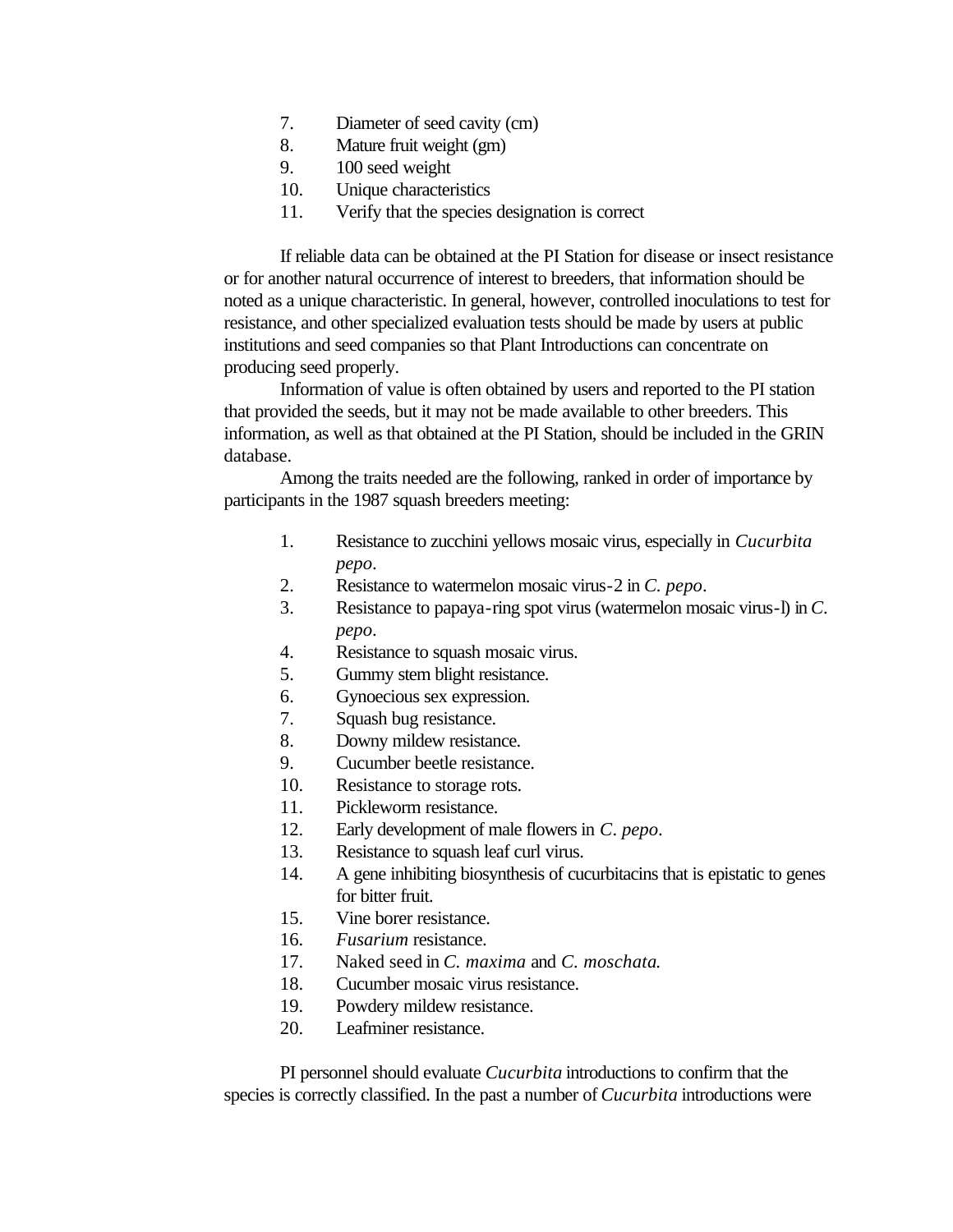- 7. Diameter of seed cavity (cm)
- 8. Mature fruit weight (gm)
- 9. 100 seed weight
- 10. Unique characteristics
- 11. Verify that the species designation is correct

If reliable data can be obtained at the PI Station for disease or insect resistance or for another natural occurrence of interest to breeders, that information should be noted as a unique characteristic. In general, however, controlled inoculations to test for resistance, and other specialized evaluation tests should be made by users at public institutions and seed companies so that Plant Introductions can concentrate on producing seed properly.

Information of value is often obtained by users and reported to the PI station that provided the seeds, but it may not be made available to other breeders. This information, as well as that obtained at the PI Station, should be included in the GRIN database.

Among the traits needed are the following, ranked in order of importance by participants in the 1987 squash breeders meeting:

- 1. Resistance to zucchini yellows mosaic virus, especially in *Cucurbita pepo*.
- 2. Resistance to watermelon mosaic virus-2 in *C. pepo*.
- 3. Resistance to papaya-ring spot virus (watermelon mosaic virus-l) in *C. pepo*.
- 4. Resistance to squash mosaic virus.
- 5. Gummy stem blight resistance.
- 6. Gynoecious sex expression.
- 7. Squash bug resistance.
- 8. Downy mildew resistance.
- 9. Cucumber beetle resistance.
- 10. Resistance to storage rots.
- 11. Pickleworm resistance.
- 12. Early development of male flowers in *C*. *pepo*.
- 13. Resistance to squash leaf curl virus.
- 14. A gene inhibiting biosynthesis of cucurbitacins that is epistatic to genes for bitter fruit.
- 15. Vine borer resistance.
- 16. *Fusarium* resistance.
- 17. Naked seed in *C. maxima* and *C. moschata*.
- 18. Cucumber mosaic virus resistance.
- 19. Powdery mildew resistance.
- 20. Leafminer resistance.

PI personnel should evaluate *Cucurbita* introductions to confirm that the species is correctly classified. In the past a number of *Cucurbita* introductions were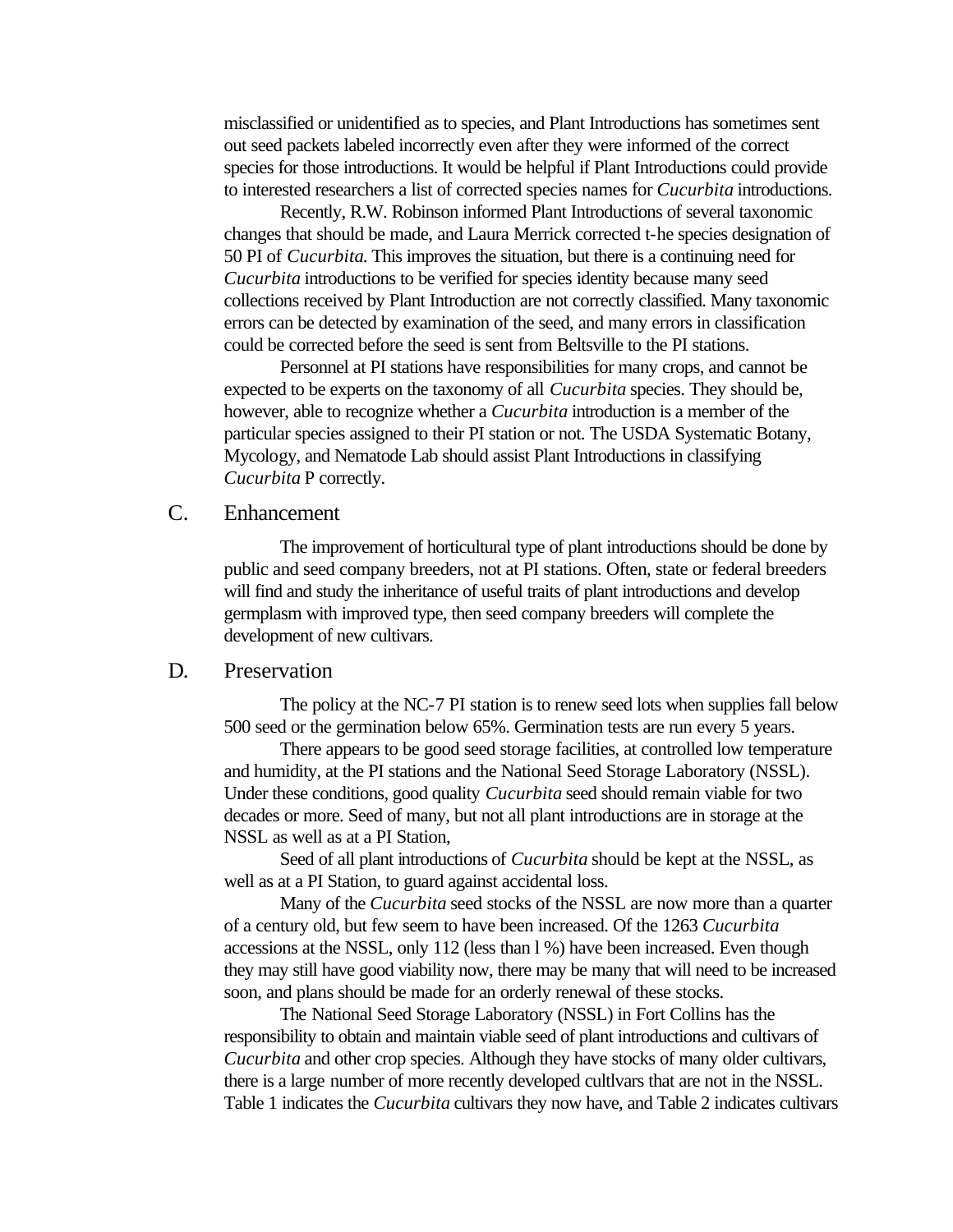misclassified or unidentified as to species, and Plant Introductions has sometimes sent out seed packets labeled incorrectly even after they were informed of the correct species for those introductions. It would be helpful if Plant Introductions could provide to interested researchers a list of corrected species names for *Cucurbita* introductions.

Recently, R.W. Robinson informed Plant Introductions of several taxonomic changes that should be made, and Laura Merrick corrected t-he species designation of 50 PI of *Cucurbita*. This improves the situation, but there is a continuing need for *Cucurbita* introductions to be verified for species identity because many seed collections received by Plant Introduction are not correctly classified. Many taxonomic errors can be detected by examination of the seed, and many errors in classification could be corrected before the seed is sent from Beltsville to the PI stations.

Personnel at PI stations have responsibilities for many crops, and cannot be expected to be experts on the taxonomy of all *Cucurbita* species. They should be, however, able to recognize whether a *Cucurbita* introduction is a member of the particular species assigned to their PI station or not. The USDA Systematic Botany, Mycology, and Nematode Lab should assist Plant Introductions in classifying *Cucurbita* P correctly.

# C. Enhancement

The improvement of horticultural type of plant introductions should be done by public and seed company breeders, not at PI stations. Often, state or federal breeders will find and study the inheritance of useful traits of plant introductions and develop germplasm with improved type, then seed company breeders will complete the development of new cultivars.

### D. Preservation

The policy at the NC-7 PI station is to renew seed lots when supplies fall below 500 seed or the germination below 65%. Germination tests are run every 5 years.

There appears to be good seed storage facilities, at controlled low temperature and humidity, at the PI stations and the National Seed Storage Laboratory (NSSL). Under these conditions, good quality *Cucurbita* seed should remain viable for two decades or more. Seed of many, but not all plant introductions are in storage at the NSSL as well as at a PI Station,

Seed of all plant introductions of *Cucurbita* should be kept at the NSSL, as well as at a PI Station, to guard against accidental loss.

Many of the *Cucurbita* seed stocks of the NSSL are now more than a quarter of a century old, but few seem to have been increased. Of the 1263 *Cucurbita* accessions at the NSSL, only 112 (less than l %) have been increased. Even though they may still have good viability now, there may be many that will need to be increased soon, and plans should be made for an orderly renewal of these stocks.

The National Seed Storage Laboratory (NSSL) in Fort Collins has the responsibility to obtain and maintain viable seed of plant introductions and cultivars of *Cucurbita* and other crop species. Although they have stocks of many older cultivars, there is a large number of more recently developed cultlvars that are not in the NSSL. Table 1 indicates the *Cucurbita* cultivars they now have, and Table 2 indicates cultivars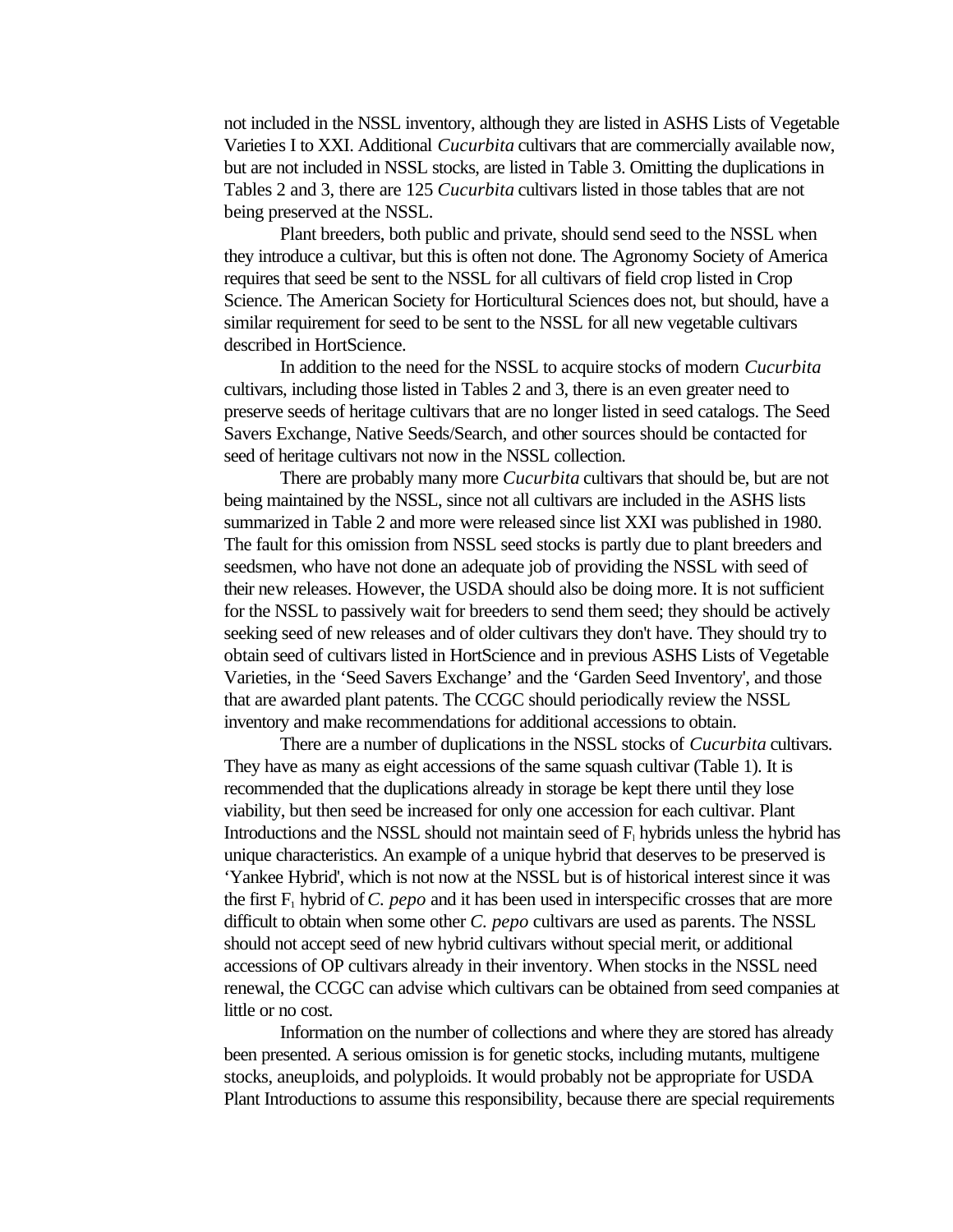not included in the NSSL inventory, although they are listed in ASHS Lists of Vegetable Varieties I to XXI. Additional *Cucurbita* cultivars that are commercially available now, but are not included in NSSL stocks, are listed in Table 3. Omitting the duplications in Tables 2 and 3, there are 125 *Cucurbita* cultivars listed in those tables that are not being preserved at the NSSL.

Plant breeders, both public and private, should send seed to the NSSL when they introduce a cultivar, but this is often not done. The Agronomy Society of America requires that seed be sent to the NSSL for all cultivars of field crop listed in Crop Science. The American Society for Horticultural Sciences does not, but should, have a similar requirement for seed to be sent to the NSSL for all new vegetable cultivars described in HortScience.

In addition to the need for the NSSL to acquire stocks of modern *Cucurbita* cultivars, including those listed in Tables 2 and 3, there is an even greater need to preserve seeds of heritage cultivars that are no longer listed in seed catalogs. The Seed Savers Exchange, Native Seeds/Search, and other sources should be contacted for seed of heritage cultivars not now in the NSSL collection.

There are probably many more *Cucurbita* cultivars that should be, but are not being maintained by the NSSL, since not all cultivars are included in the ASHS lists summarized in Table 2 and more were released since list XXI was published in 1980. The fault for this omission from NSSL seed stocks is partly due to plant breeders and seedsmen, who have not done an adequate job of providing the NSSL with seed of their new releases. However, the USDA should also be doing more. It is not sufficient for the NSSL to passively wait for breeders to send them seed; they should be actively seeking seed of new releases and of older cultivars they don't have. They should try to obtain seed of cultivars listed in HortScience and in previous ASHS Lists of Vegetable Varieties, in the 'Seed Savers Exchange' and the 'Garden Seed Inventory', and those that are awarded plant patents. The CCGC should periodically review the NSSL inventory and make recommendations for additional accessions to obtain.

There are a number of duplications in the NSSL stocks of *Cucurbita* cultivars. They have as many as eight accessions of the same squash cultivar (Table 1). It is recommended that the duplications already in storage be kept there until they lose viability, but then seed be increased for only one accession for each cultivar. Plant Introductions and the NSSL should not maintain seed of  $F<sub>1</sub>$  hybrids unless the hybrid has unique characteristics. An example of a unique hybrid that deserves to be preserved is 'Yankee Hybrid', which is not now at the NSSL but is of historical interest since it was the first  $F_1$  hybrid of C. pepo and it has been used in interspecific crosses that are more difficult to obtain when some other *C. pepo* cultivars are used as parents. The NSSL should not accept seed of new hybrid cultivars without special merit, or additional accessions of OP cultivars already in their inventory. When stocks in the NSSL need renewal, the CCGC can advise which cultivars can be obtained from seed companies at little or no cost.

Information on the number of collections and where they are stored has already been presented. A serious omission is for genetic stocks, including mutants, multigene stocks, aneuploids, and polyploids. It would probably not be appropriate for USDA Plant Introductions to assume this responsibility, because there are special requirements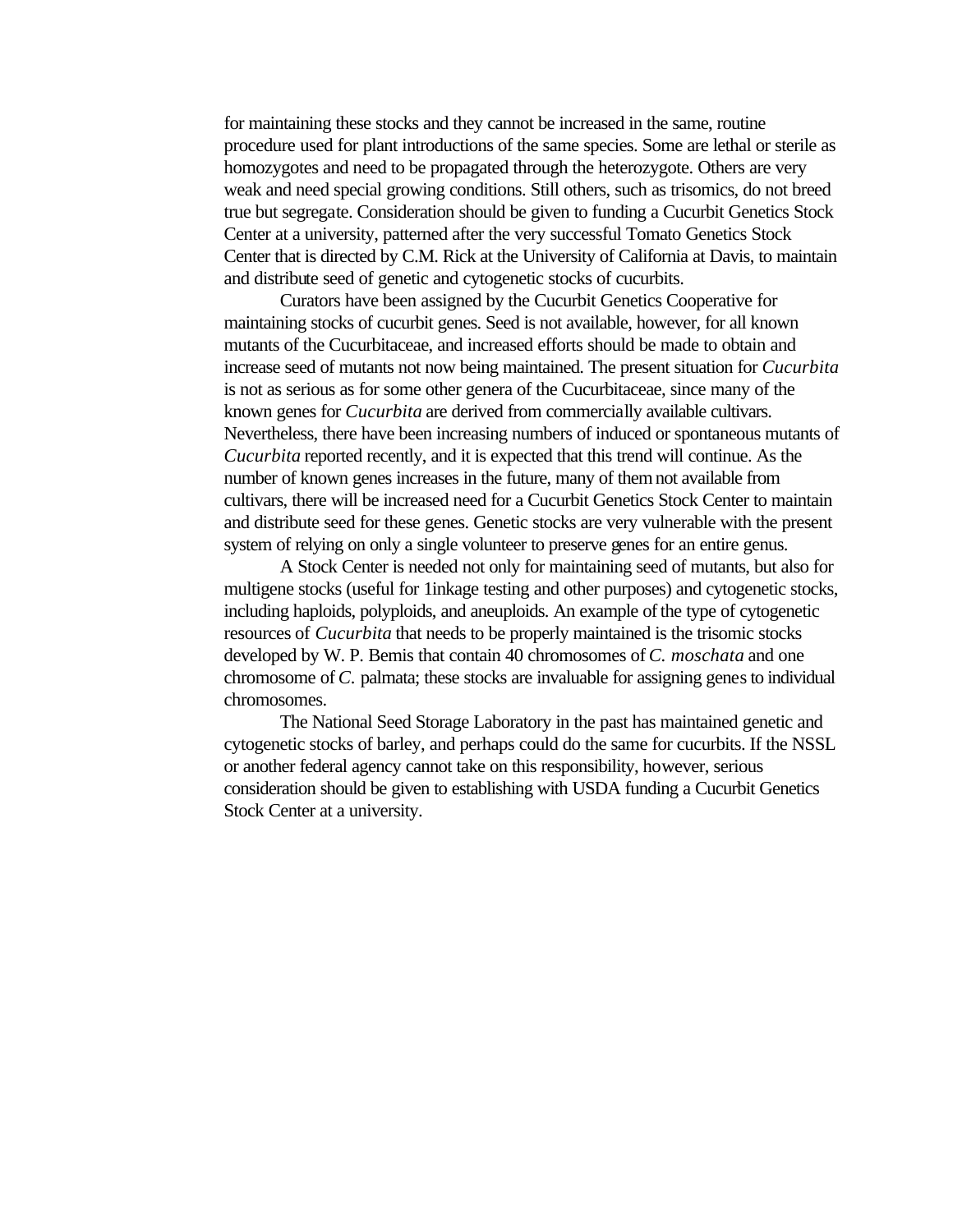for maintaining these stocks and they cannot be increased in the same, routine procedure used for plant introductions of the same species. Some are lethal or sterile as homozygotes and need to be propagated through the heterozygote. Others are very weak and need special growing conditions. Still others, such as trisomics, do not breed true but segregate. Consideration should be given to funding a Cucurbit Genetics Stock Center at a university, patterned after the very successful Tomato Genetics Stock Center that is directed by C.M. Rick at the University of California at Davis, to maintain and distribute seed of genetic and cytogenetic stocks of cucurbits.

Curators have been assigned by the Cucurbit Genetics Cooperative for maintaining stocks of cucurbit genes. Seed is not available, however, for all known mutants of the Cucurbitaceae, and increased efforts should be made to obtain and increase seed of mutants not now being maintained. The present situation for *Cucurbita* is not as serious as for some other genera of the Cucurbitaceae, since many of the known genes for *Cucurbita* are derived from commercially available cultivars. Nevertheless, there have been increasing numbers of induced or spontaneous mutants of *Cucurbita* reported recently, and it is expected that this trend will continue. As the number of known genes increases in the future, many of them not available from cultivars, there will be increased need for a Cucurbit Genetics Stock Center to maintain and distribute seed for these genes. Genetic stocks are very vulnerable with the present system of relying on only a single volunteer to preserve genes for an entire genus.

A Stock Center is needed not only for maintaining seed of mutants, but also for multigene stocks (useful for 1inkage testing and other purposes) and cytogenetic stocks, including haploids, polyploids, and aneuploids. An example of the type of cytogenetic resources of *Cucurbita* that needs to be properly maintained is the trisomic stocks developed by W. P. Bemis that contain 40 chromosomes of *C. moschata* and one chromosome of *C.* palmata; these stocks are invaluable for assigning genes to individual chromosomes.

The National Seed Storage Laboratory in the past has maintained genetic and cytogenetic stocks of barley, and perhaps could do the same for cucurbits. If the NSSL or another federal agency cannot take on this responsibility, however, serious consideration should be given to establishing with USDA funding a Cucurbit Genetics Stock Center at a university.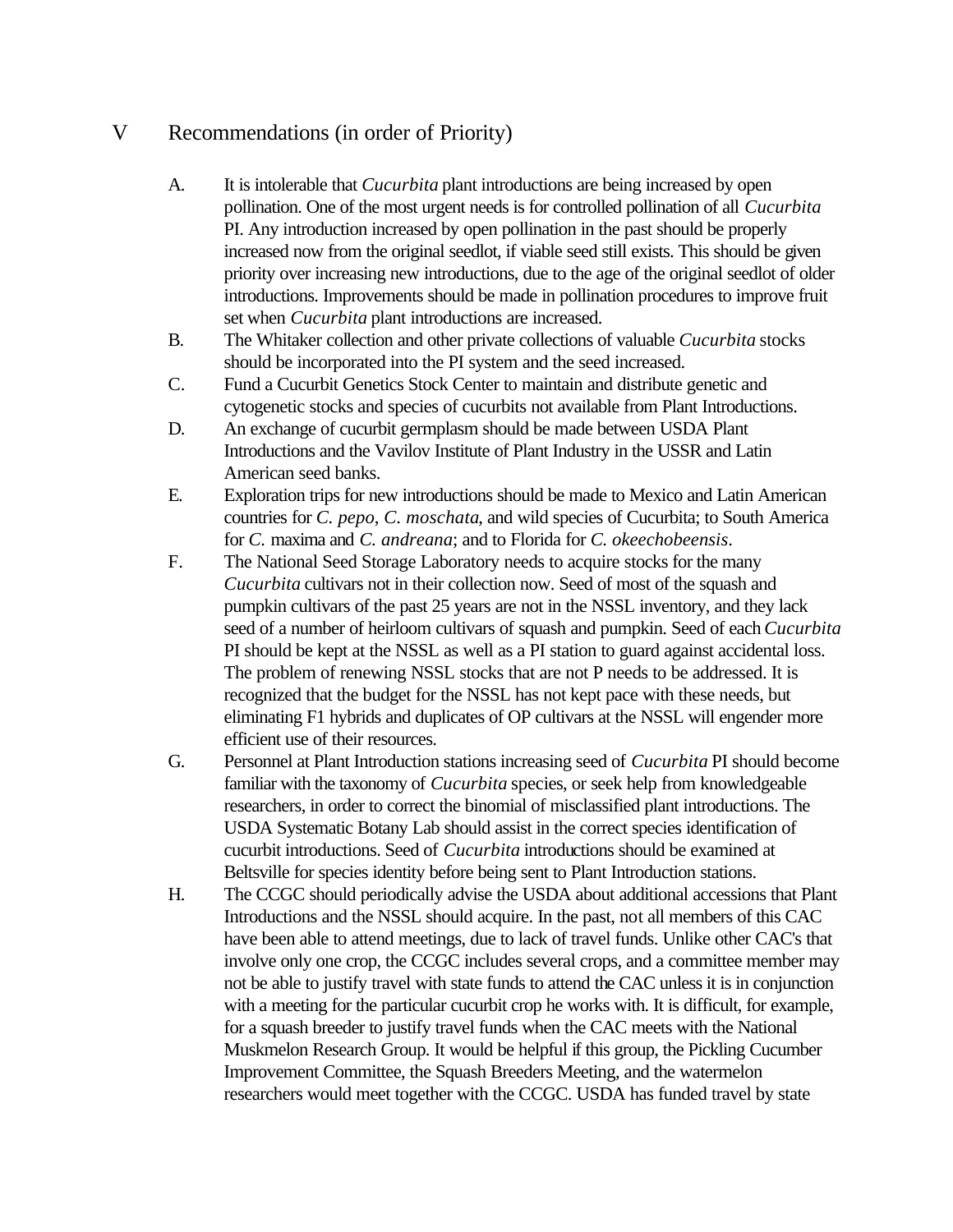# V Recommendations (in order of Priority)

- A. It is intolerable that *Cucurbita* plant introductions are being increased by open pollination. One of the most urgent needs is for controlled pollination of all *Cucurbita* PI. Any introduction increased by open pollination in the past should be properly increased now from the original seedlot, if viable seed still exists. This should be given priority over increasing new introductions, due to the age of the original seedlot of older introductions. Improvements should be made in pollination procedures to improve fruit set when *Cucurbita* plant introductions are increased.
- B. The Whitaker collection and other private collections of valuable *Cucurbita* stocks should be incorporated into the PI system and the seed increased.
- C. Fund a Cucurbit Genetics Stock Center to maintain and distribute genetic and cytogenetic stocks and species of cucurbits not available from Plant Introductions.
- D. An exchange of cucurbit germplasm should be made between USDA Plant Introductions and the Vavilov Institute of Plant Industry in the USSR and Latin American seed banks.
- E. Exploration trips for new introductions should be made to Mexico and Latin American countries for *C. pepo*, *C. moschata*, and wild species of Cucurbita; to South America for *C.* maxima and *C. andreana*; and to Florida for *C. okeechobeensis*.
- F. The National Seed Storage Laboratory needs to acquire stocks for the many *Cucurbita* cultivars not in their collection now. Seed of most of the squash and pumpkin cultivars of the past 25 years are not in the NSSL inventory, and they lack seed of a number of heirloom cultivars of squash and pumpkin. Seed of each*Cucurbita* PI should be kept at the NSSL as well as a PI station to guard against accidental loss. The problem of renewing NSSL stocks that are not P needs to be addressed. It is recognized that the budget for the NSSL has not kept pace with these needs, but eliminating F1 hybrids and duplicates of OP cultivars at the NSSL will engender more efficient use of their resources.
- G. Personnel at Plant Introduction stations increasing seed of *Cucurbita* PI should become familiar with the taxonomy of *Cucurbita* species, or seek help from knowledgeable researchers, in order to correct the binomial of misclassified plant introductions. The USDA Systematic Botany Lab should assist in the correct species identification of cucurbit introductions. Seed of *Cucurbita* introductions should be examined at Beltsville for species identity before being sent to Plant Introduction stations.
- H. The CCGC should periodically advise the USDA about additional accessions that Plant Introductions and the NSSL should acquire. In the past, not all members of this CAC have been able to attend meetings, due to lack of travel funds. Unlike other CAC's that involve only one crop, the CCGC includes several crops, and a committee member may not be able to justify travel with state funds to attend the CAC unless it is in conjunction with a meeting for the particular cucurbit crop he works with. It is difficult, for example, for a squash breeder to justify travel funds when the CAC meets with the National Muskmelon Research Group. It would be helpful if this group, the Pickling Cucumber Improvement Committee, the Squash Breeders Meeting, and the watermelon researchers would meet together with the CCGC. USDA has funded travel by state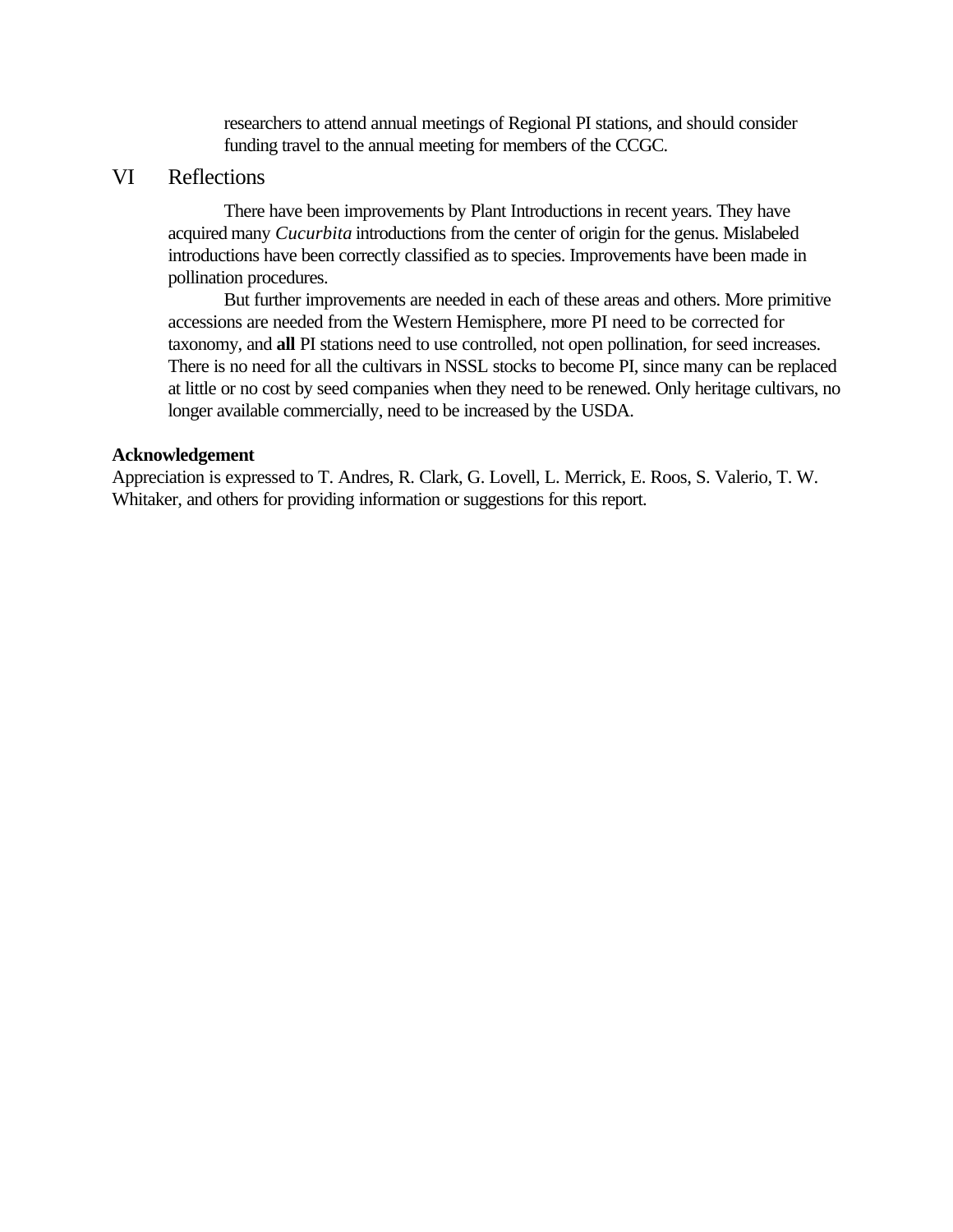researchers to attend annual meetings of Regional PI stations, and should consider funding travel to the annual meeting for members of the CCGC.

# VI Reflections

There have been improvements by Plant Introductions in recent years. They have acquired many *Cucurbita* introductions from the center of origin for the genus. Mislabeled introductions have been correctly classified as to species. Improvements have been made in pollination procedures.

But further improvements are needed in each of these areas and others. More primitive accessions are needed from the Western Hemisphere, more PI need to be corrected for taxonomy, and **all** PI stations need to use controlled, not open pollination, for seed increases. There is no need for all the cultivars in NSSL stocks to become PI, since many can be replaced at little or no cost by seed companies when they need to be renewed. Only heritage cultivars, no longer available commercially, need to be increased by the USDA.

#### **Acknowledgement**

Appreciation is expressed to T. Andres, R. Clark, G. Lovell, L. Merrick, E. Roos, S. Valerio, T. W. Whitaker, and others for providing information or suggestions for this report.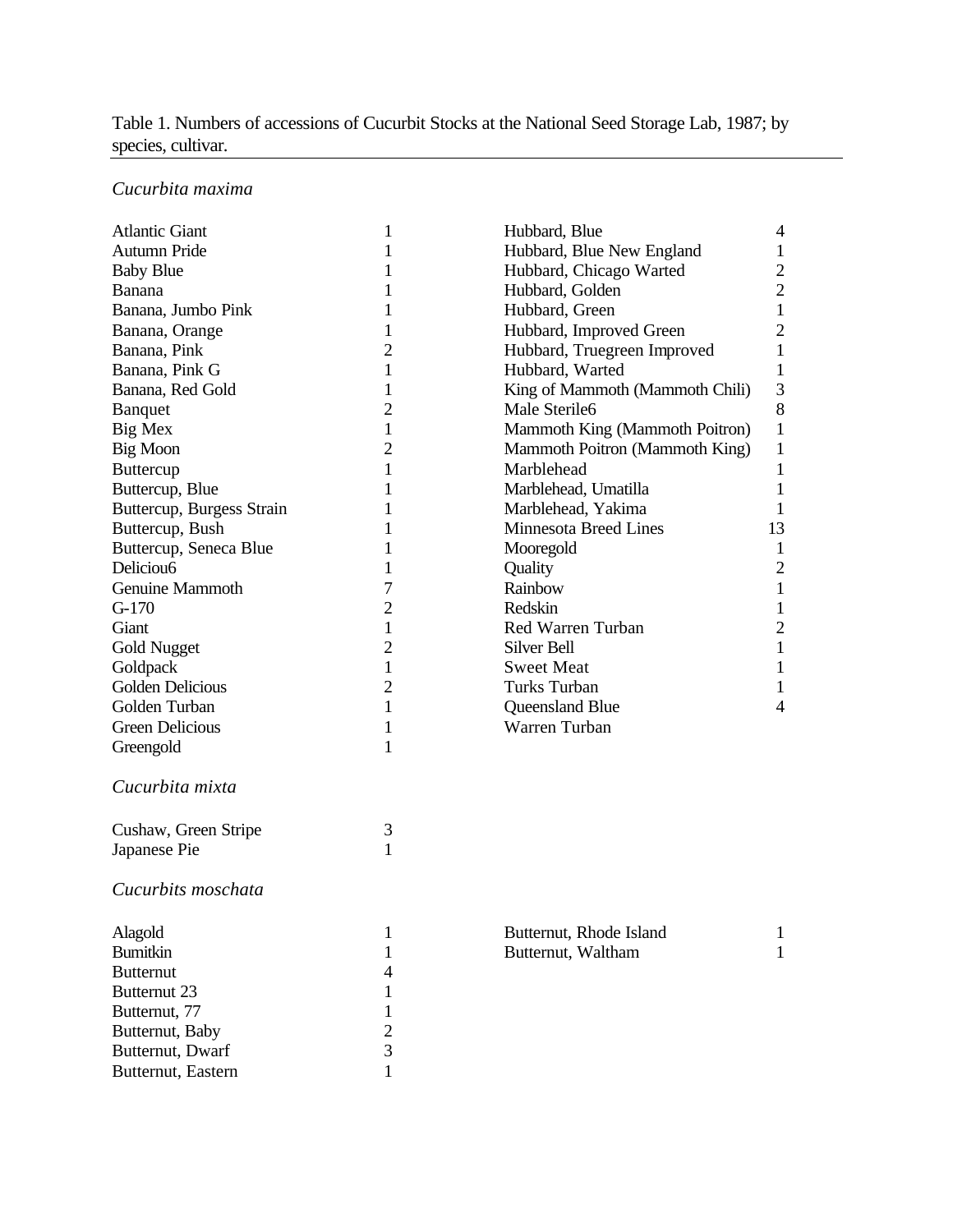# Table 1. Numbers of accessions of Cucurbit Stocks at the National Seed Storage Lab, 1987; by species, cultivar.

# *Cucurbita maxima*

| <b>Atlantic Giant</b>     | 1              | Hubbard, Blue                   | 4              |
|---------------------------|----------------|---------------------------------|----------------|
| Autumn Pride              | 1              | Hubbard, Blue New England       | $\mathbf{1}$   |
| <b>Baby Blue</b>          | 1              | Hubbard, Chicago Warted         | $\mathbf{2}$   |
| Banana                    | 1              | Hubbard, Golden                 | $\overline{2}$ |
| Banana, Jumbo Pink        | 1              | Hubbard, Green                  | $\mathbf{1}$   |
| Banana, Orange            | 1              | Hubbard, Improved Green         | $\overline{2}$ |
| Banana, Pink              | $\overline{c}$ | Hubbard, Truegreen Improved     | 1              |
| Banana, Pink G            | 1              | Hubbard, Warted                 | $\mathbf{1}$   |
| Banana, Red Gold          | 1              | King of Mammoth (Mammoth Chili) | 3              |
| <b>Banquet</b>            | $\overline{c}$ | Male Sterile6                   | 8              |
| Big Mex                   | 1              | Mammoth King (Mammoth Poitron)  | $\mathbf{1}$   |
| Big Moon                  | $\overline{c}$ | Mammoth Poitron (Mammoth King)  | 1              |
| <b>Buttercup</b>          | 1              | Marblehead                      | 1              |
| Buttercup, Blue           | 1              | Marblehead, Umatilla            | $\mathbf{1}$   |
| Buttercup, Burgess Strain | 1              | Marblehead, Yakima              | 1              |
| Buttercup, Bush           | 1              | <b>Minnesota Breed Lines</b>    | 13             |
| Buttercup, Seneca Blue    | 1              | Mooregold                       | $\mathbf{1}$   |
| Deliciou <sub>6</sub>     | 1              | Quality                         | $\mathbf{2}$   |
| Genuine Mammoth           | 7              | Rainbow                         | $\mathbf{1}$   |
| $G-170$                   | 2              | Redskin                         | $\mathbf 1$    |
| Giant                     | 1              | Red Warren Turban               | $\overline{2}$ |
| <b>Gold Nugget</b>        | $\overline{c}$ | Silver Bell                     | $\mathbf{1}$   |
| Goldpack                  | 1              | <b>Sweet Meat</b>               | $\mathbf{1}$   |
| Golden Delicious          | $\overline{c}$ | Turks Turban                    | 1              |
| Golden Turban             | 1              | Queensland Blue                 | 4              |
| <b>Green Delicious</b>    | 1              | Warren Turban                   |                |
| Greengold                 | $\mathbf{1}$   |                                 |                |
| Cucurbita mixta           |                |                                 |                |
|                           |                |                                 |                |
| Cushaw, Green Stripe      | 3              |                                 |                |
| Japanese Pie              | 1              |                                 |                |
| Cucurbits moschata        |                |                                 |                |
| Alagold                   | 1              | Butternut, Rhode Island         | $\mathbf{1}$   |
| <b>Bumitkin</b>           | 1              | Butternut, Waltham              | 1              |
| <b>Butternut</b>          | 4              |                                 |                |
| Butternut 23              | 1              |                                 |                |
| Butternut, 77             | 1              |                                 |                |
| Butternut, Baby           | $\overline{c}$ |                                 |                |
| Butternut, Dwarf          | 3              |                                 |                |
| Butternut, Eastern        | 1              |                                 |                |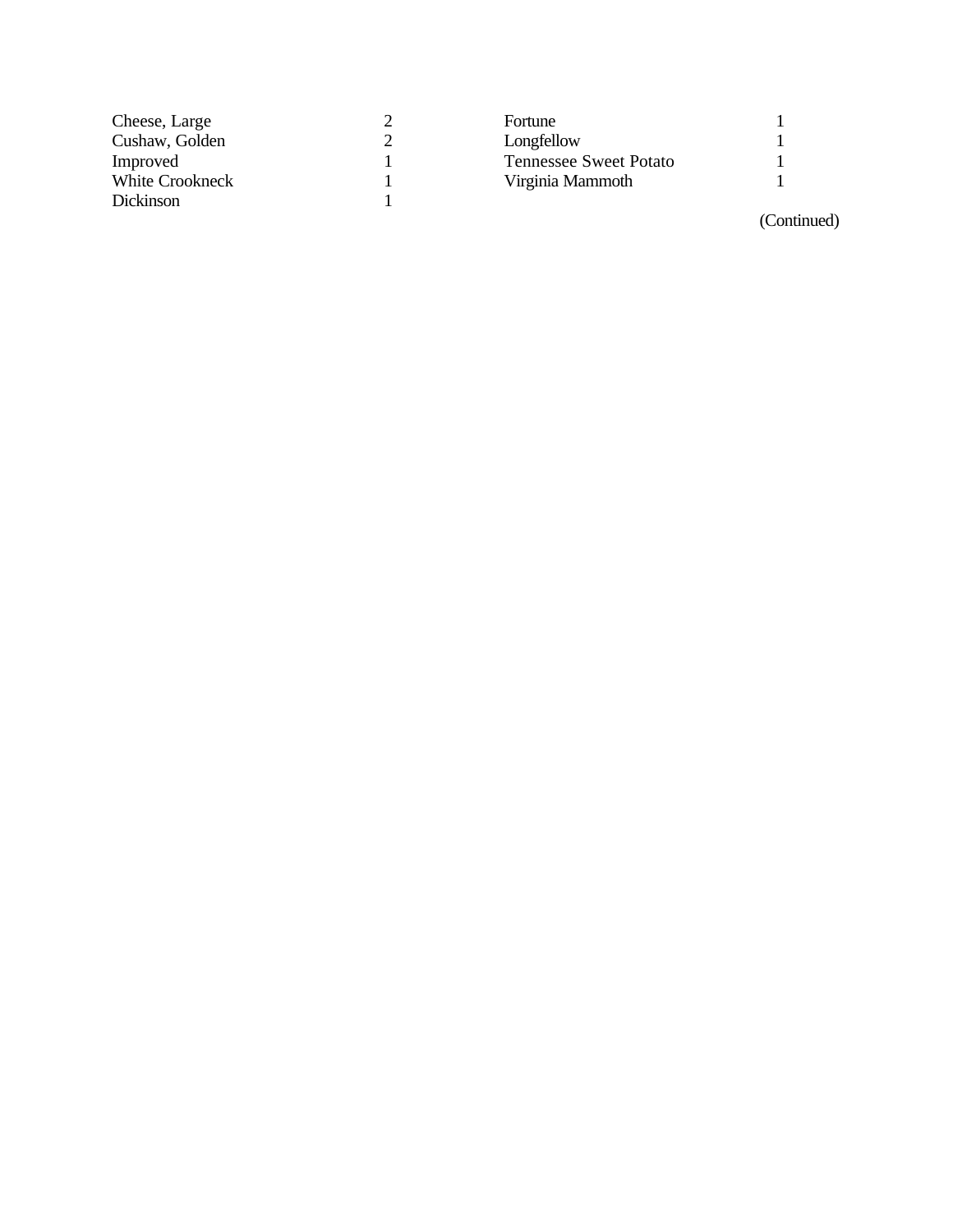| Cheese, Large    | Fortune                       |  |
|------------------|-------------------------------|--|
| Cushaw, Golden   | Longfellow                    |  |
| Improved         | <b>Tennessee Sweet Potato</b> |  |
| White Crookneck  | Virginia Mammoth              |  |
| <b>Dickinson</b> |                               |  |

(Continued)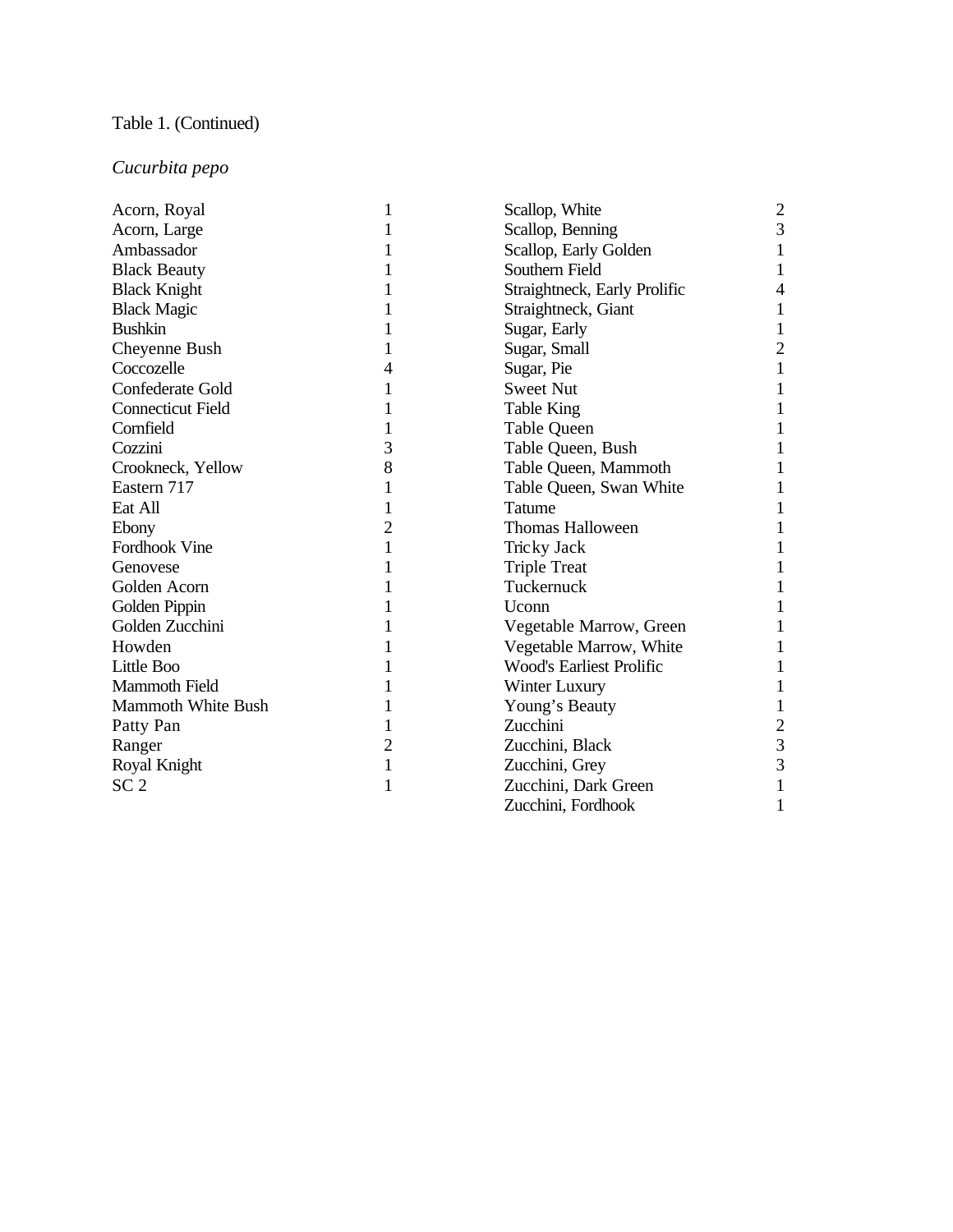# Table 1. (Continued)

# *Cucurbita pepo*

| Acorn, Royal              |   | Scallop, White                  | 2              |
|---------------------------|---|---------------------------------|----------------|
| Acorn, Large              |   | Scallop, Benning                | 3              |
| Ambassador                |   | Scallop, Early Golden           |                |
| <b>Black Beauty</b>       |   | Southern Field                  |                |
| <b>Black Knight</b>       |   | Straightneck, Early Prolific    |                |
| <b>Black Magic</b>        |   | Straightneck, Giant             |                |
| <b>Bushkin</b>            |   | Sugar, Early                    |                |
| Cheyenne Bush             |   | Sugar, Small                    | $\overline{2}$ |
| Coccozelle                |   | Sugar, Pie                      |                |
| Confederate Gold          |   | <b>Sweet Nut</b>                |                |
| <b>Connecticut Field</b>  |   | <b>Table King</b>               |                |
| Cornfield                 |   | <b>Table Queen</b>              |                |
| Cozzini                   | 3 | Table Queen, Bush               |                |
| Crookneck, Yellow         | 8 | Table Queen, Mammoth            |                |
| Eastern 717               |   | Table Queen, Swan White         |                |
| Eat All                   |   | Tatume                          |                |
| Ebony                     | 2 | Thomas Halloween                |                |
| Fordhook Vine             |   | Tricky Jack                     |                |
| Genovese                  |   | <b>Triple Treat</b>             |                |
| Golden Acorn              |   | Tuckernuck                      |                |
| Golden Pippin             |   | Uconn                           |                |
| Golden Zucchini           |   | Vegetable Marrow, Green         |                |
| Howden                    |   | Vegetable Marrow, White         |                |
| Little Boo                |   | <b>Wood's Earliest Prolific</b> |                |
| Mammoth Field             |   | Winter Luxury                   |                |
| <b>Mammoth White Bush</b> |   | Young's Beauty                  |                |
| Patty Pan                 |   | Zucchini                        | $\overline{2}$ |
| Ranger                    | 2 | Zucchini, Black                 | 3              |
| Royal Knight              | 1 | Zucchini, Grey                  | 3              |
| SC <sub>2</sub>           |   | Zucchini, Dark Green            |                |
|                           |   | Zucchini, Fordhook              |                |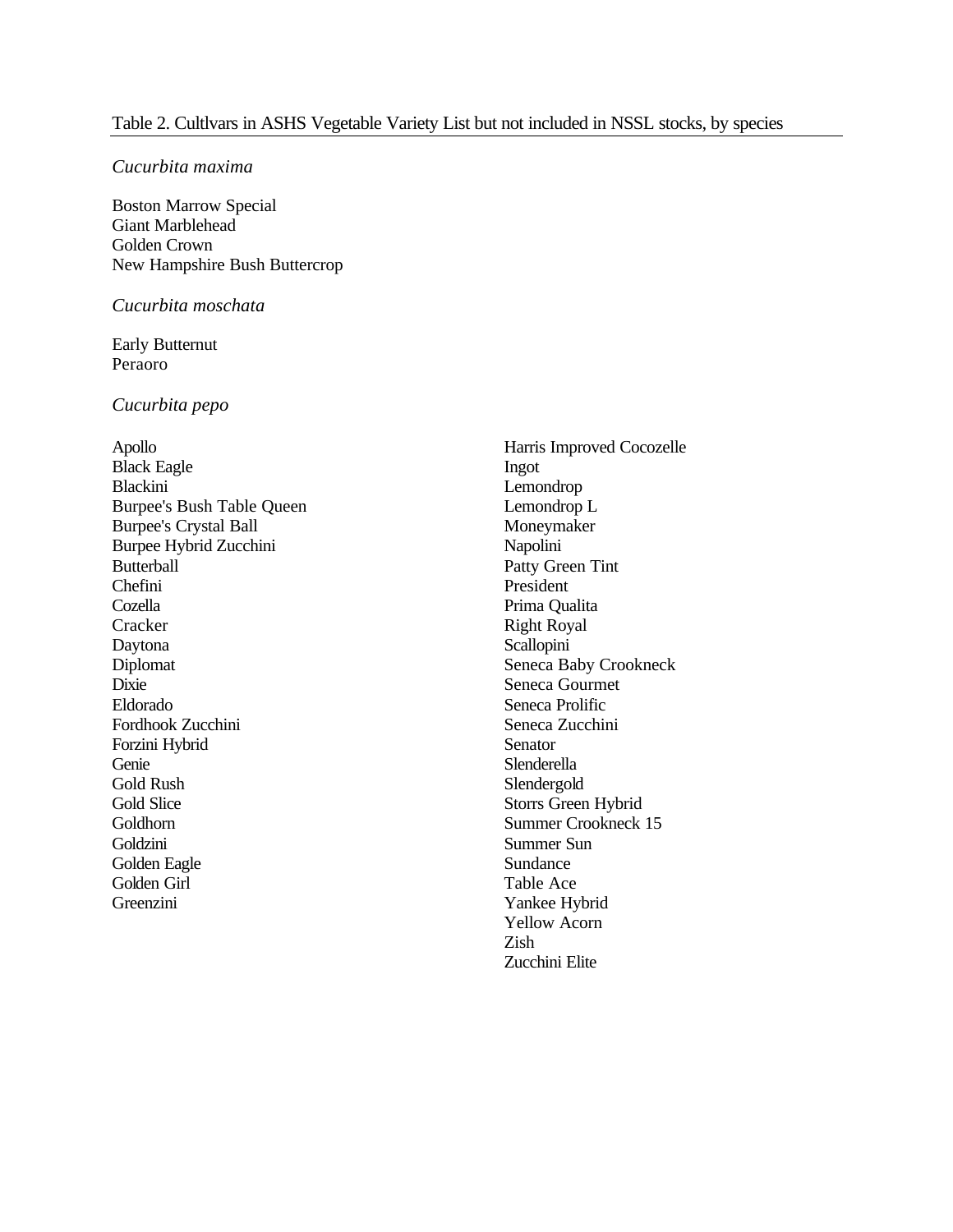#### *Cucurbita maxima*

Boston Marrow Special Giant Marblehead Golden Crown New Hampshire Bush Buttercrop

#### *Cucurbita moschata*

Early Butternut Peraoro

#### *Cucurbita pepo*

Apollo Black Eagle Blackini Burpee's Bush Table Queen Burpee's Crystal Ball Burpee Hybrid Zucchini Butterball Chefini Cozella **Cracker** Daytona Diplomat Dixie Eldorado Fordhook Zucchini Forzini Hybrid Genie Gold Rush Gold Slice Goldhorn Goldzini Golden Eagle Golden Girl Greenzini

Harris Improved Cocozelle Ingot Lemondrop Lemondrop L Moneymaker Napolini Patty Green Tint President Prima Qualita Right Royal **Scallopini** Seneca Baby Crookneck Seneca Gourmet Seneca Prolific Seneca Zucchini Senator Slenderella Slendergold Storrs Green Hybrid Summer Crookneck 15 Summer Sun Sundance Table Ace Yankee Hybrid Yellow Acorn Zish Zucchini Elite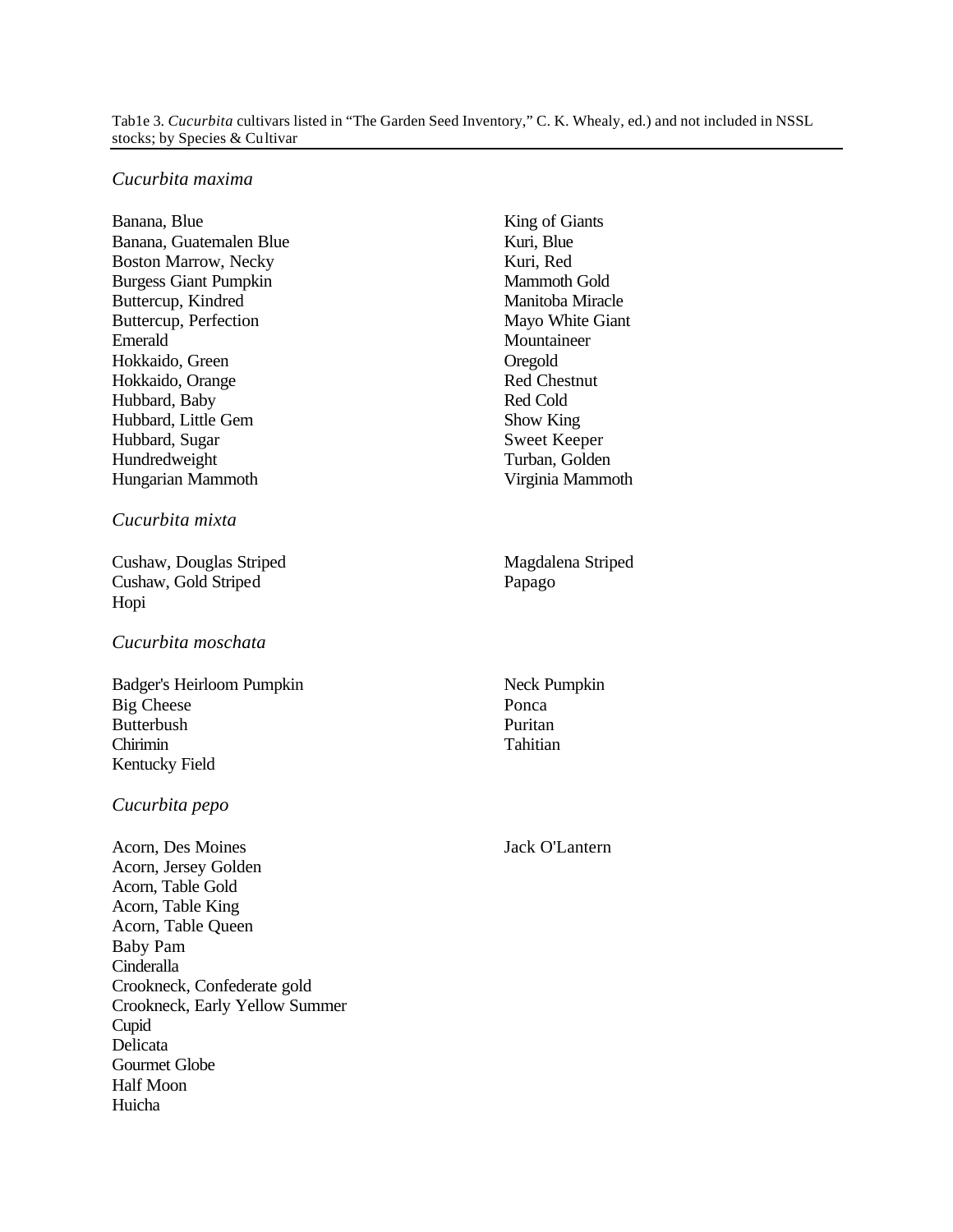#### Tab1e 3. *Cucurbita* cultivars listed in "The Garden Seed Inventory," C. K. Whealy, ed.) and not included in NSSL stocks; by Species & Cultivar

#### *Cucurbita maxima*

Banana, Blue Banana, Guatemalen Blue Boston Marrow, Necky Burgess Giant Pumpkin Buttercup, Kindred Buttercup, Perfection Emerald Hokkaido, Green Hokkaido, Orange Hubbard, Baby Hubbard, Little Gem Hubbard, Sugar Hundredweight Hungarian Mammoth

#### *Cucurbita mixta*

Cushaw, Douglas Striped Cushaw, Gold Striped Hopi

#### *Cucurbita moschata*

Badger's Heirloom Pumpkin Big Cheese **Butterbush** Chirimin Kentucky Field

#### *Cucurbita pepo*

Acorn, Des Moines Acorn, Jersey Golden Acorn, Table Gold Acorn, Table King Acorn, Table Queen Baby Pam **Cinderalla** Crookneck, Confederate gold Crookneck, Early Yellow Summer Cupid Delicata Gourmet Globe Half Moon Huicha

King of Giants Kuri, Blue Kuri, Red Mammoth Gold Manitoba Miracle Mayo White Giant Mountaineer **Oregold** Red Chestnut Red Cold Show King Sweet Keeper Turban, Golden Virginia Mammoth

Magdalena Striped Papago

Neck Pumpkin Ponca Puritan Tahitian

Jack O'Lantern